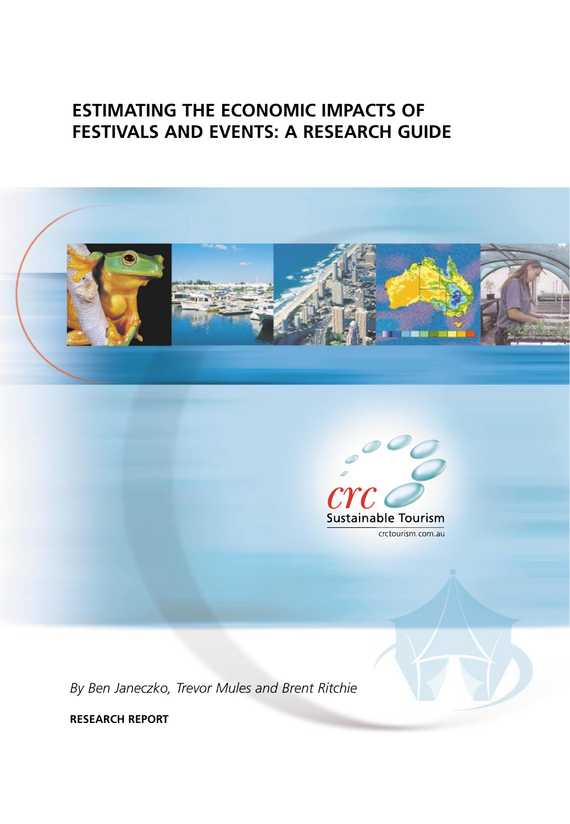# **ESTIMATING THE ECONOMIC IMPACTS OF FESTIVALS AND EVENTS: A RESEARCH GUIDE**





*By Ben Janeczko, Trevor Mules and Brent Ritchie*

**RESEARCH REPORT**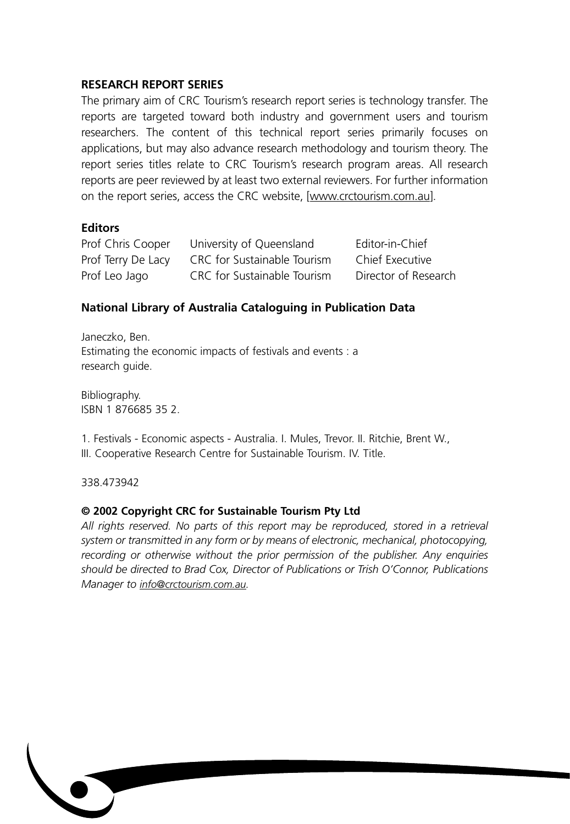## **RESEARCH REPORT SERIES**

The primary aim of CRC Tourism's research report series is technology transfer. The reports are targeted toward both industry and government users and tourism researchers. The content of this technical report series primarily focuses on applications, but may also advance research methodology and tourism theory. The report series titles relate to CRC Tourism's research program areas. All research reports are peer reviewed by at least two external reviewers. For further information on the report series, access the CRC website, [www.crctourism.com.au].

## **Editors**

| Prof Chris Cooper  | University of Queensland    | Editor-in-Chief      |
|--------------------|-----------------------------|----------------------|
| Prof Terry De Lacy | CRC for Sustainable Tourism | Chief Executive      |
| Prof Leo Jago      | CRC for Sustainable Tourism | Director of Research |

## **National Library of Australia Cataloguing in Publication Data**

Janeczko, Ben. Estimating the economic impacts of festivals and events : a research guide.

Bibliography. ISBN 1 876685 35 2.

1. Festivals - Economic aspects - Australia. I. Mules, Trevor. II. Ritchie, Brent W., III. Cooperative Research Centre for Sustainable Tourism. IV. Title.

338.473942

## **© 2002 Copyright CRC for Sustainable Tourism Pty Ltd**

*All rights reserved. No parts of this report may be reproduced, stored in a retrieval system or transmitted in any form or by means of electronic, mechanical, photocopying, recording or otherwise without the prior permission of the publisher. Any enquiries should be directed to Brad Cox, Director of Publications or Trish O'Connor, Publications Manager to info@crctourism.com.au.*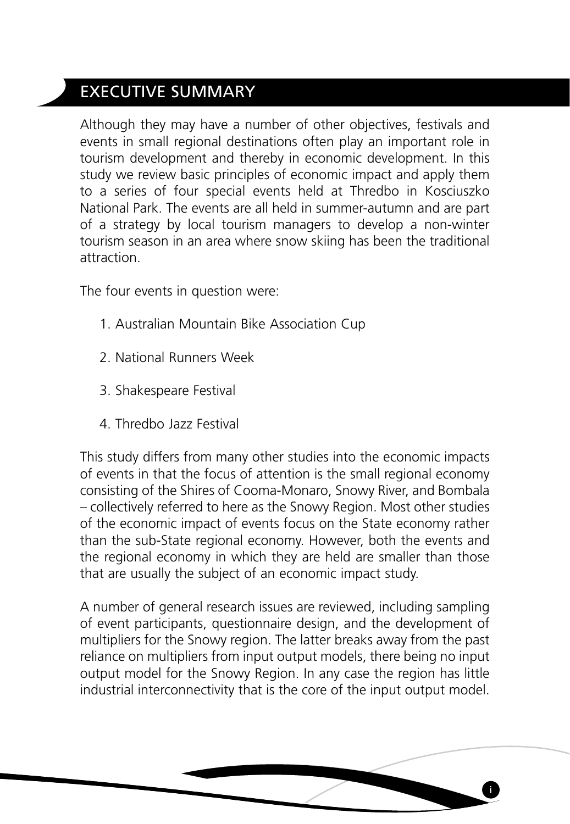# EXECUTIVE SUMMARY

Although they may have a number of other objectives, festivals and events in small regional destinations often play an important role in tourism development and thereby in economic development. In this study we review basic principles of economic impact and apply them to a series of four special events held at Thredbo in Kosciuszko National Park. The events are all held in summer-autumn and are part of a strategy by local tourism managers to develop a non-winter tourism season in an area where snow skiing has been the traditional attraction.

The four events in question were:

- 1. Australian Mountain Bike Association Cup
- 2. National Runners Week
- 3. Shakespeare Festival
- 4. Thredbo Jazz Festival

This study differs from many other studies into the economic impacts of events in that the focus of attention is the small regional economy consisting of the Shires of Cooma-Monaro, Snowy River, and Bombala – collectively referred to here as the Snowy Region. Most other studies of the economic impact of events focus on the State economy rather than the sub-State regional economy. However, both the events and the regional economy in which they are held are smaller than those that are usually the subject of an economic impact study.

A number of general research issues are reviewed, including sampling of event participants, questionnaire design, and the development of multipliers for the Snowy region. The latter breaks away from the past reliance on multipliers from input output models, there being no input output model for the Snowy Region. In any case the region has little industrial interconnectivity that is the core of the input output model.

**i**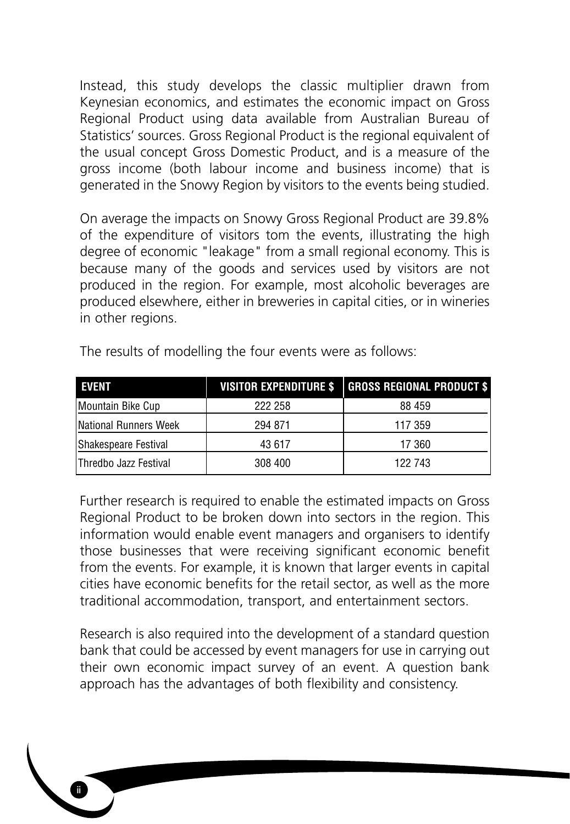Instead, this study develops the classic multiplier drawn from Keynesian economics, and estimates the economic impact on Gross Regional Product using data available from Australian Bureau of Statistics' sources. Gross Regional Product is the regional equivalent of the usual concept Gross Domestic Product, and is a measure of the gross income (both labour income and business income) that is generated in the Snowy Region by visitors to the events being studied.

On average the impacts on Snowy Gross Regional Product are 39.8% of the expenditure of visitors tom the events, illustrating the high degree of economic "leakage" from a small regional economy. This is because many of the goods and services used by visitors are not produced in the region. For example, most alcoholic beverages are produced elsewhere, either in breweries in capital cities, or in wineries in other regions.

| <b>EVENT</b>           | <b>VISITOR EXPENDITURE \$</b> | <b>GROSS REGIONAL PRODUCT \$</b> |
|------------------------|-------------------------------|----------------------------------|
| Mountain Bike Cup      | 222 258                       | 88 459                           |
| National Runners Week  | 294 871                       | 117 359                          |
| Shakespeare Festival   | 43 617                        | 17 360                           |
| lThredbo Jazz Festival | 308 400                       | 122 743                          |

The results of modelling the four events were as follows:

Further research is required to enable the estimated impacts on Gross Regional Product to be broken down into sectors in the region. This information would enable event managers and organisers to identify those businesses that were receiving significant economic benefit from the events. For example, it is known that larger events in capital cities have economic benefits for the retail sector, as well as the more traditional accommodation, transport, and entertainment sectors.

Research is also required into the development of a standard question bank that could be accessed by event managers for use in carrying out their own economic impact survey of an event. A question bank approach has the advantages of both flexibility and consistency.

**ii**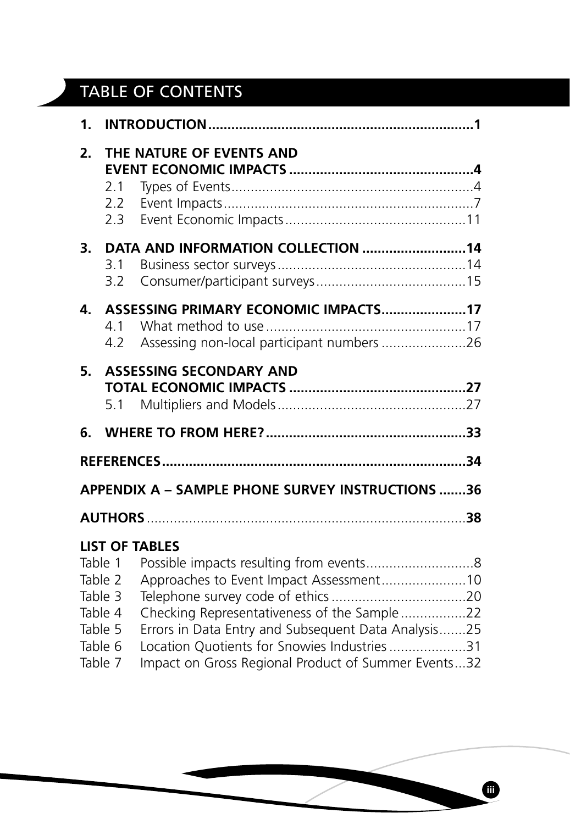# TABLE OF CONTENTS

| 1. |                                                                           |                                                                                                                                                                                                                                                                               |  |
|----|---------------------------------------------------------------------------|-------------------------------------------------------------------------------------------------------------------------------------------------------------------------------------------------------------------------------------------------------------------------------|--|
| 2. | 2.1<br>$2.2^{\circ}$<br>2.3                                               | THE NATURE OF EVENTS AND                                                                                                                                                                                                                                                      |  |
| 3. | 3.1<br>3.2                                                                | DATA AND INFORMATION COLLECTION 14                                                                                                                                                                                                                                            |  |
| 4. | 4.1<br>4.2                                                                | ASSESSING PRIMARY ECONOMIC IMPACTS17<br>Assessing non-local participant numbers 26                                                                                                                                                                                            |  |
| 5. | 5.1                                                                       | <b>ASSESSING SECONDARY AND</b>                                                                                                                                                                                                                                                |  |
| 6. |                                                                           |                                                                                                                                                                                                                                                                               |  |
|    |                                                                           | <b>APPENDIX A - SAMPLE PHONE SURVEY INSTRUCTIONS 36</b>                                                                                                                                                                                                                       |  |
|    |                                                                           |                                                                                                                                                                                                                                                                               |  |
|    | Table 1<br>Table 2<br>Table 3<br>Table 4<br>Table 5<br>Table 6<br>Table 7 | <b>LIST OF TABLES</b><br>Approaches to Event Impact Assessment10<br>Checking Representativeness of the Sample22<br>Errors in Data Entry and Subsequent Data Analysis25<br>Location Quotients for Snowies Industries 31<br>Impact on Gross Regional Product of Summer Events32 |  |

**iii**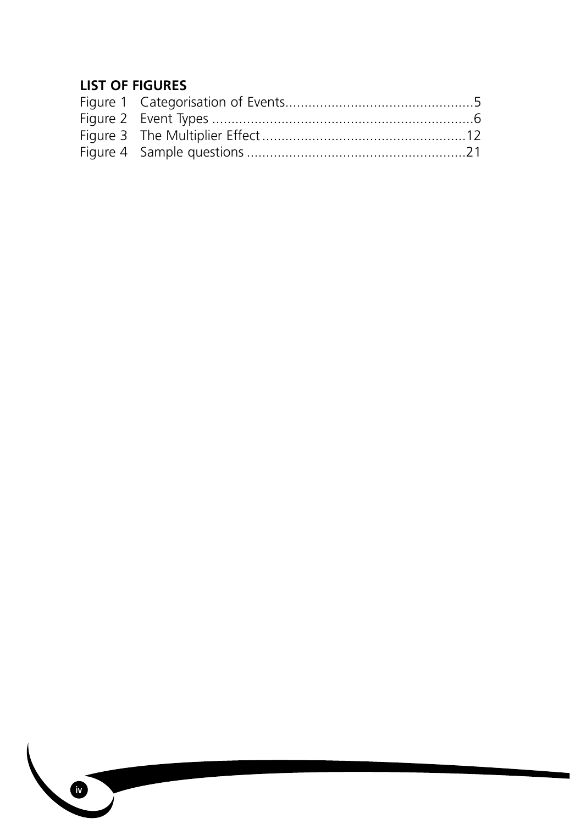# **LIST OF FIGURES**

**iv**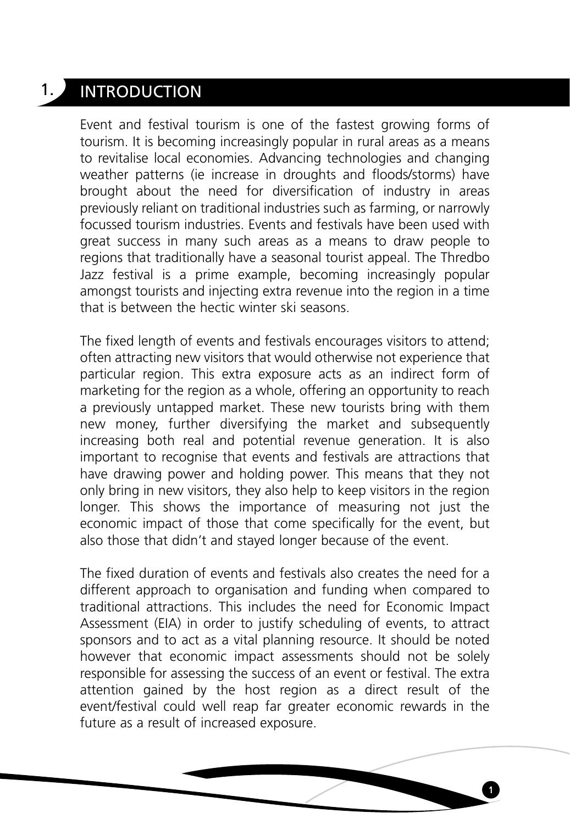# 1. INTRODUCTION

Event and festival tourism is one of the fastest growing forms of tourism. It is becoming increasingly popular in rural areas as a means to revitalise local economies. Advancing technologies and changing weather patterns (ie increase in droughts and floods/storms) have brought about the need for diversification of industry in areas previously reliant on traditional industries such as farming, or narrowly focussed tourism industries. Events and festivals have been used with great success in many such areas as a means to draw people to regions that traditionally have a seasonal tourist appeal. The Thredbo Jazz festival is a prime example, becoming increasingly popular amongst tourists and injecting extra revenue into the region in a time that is between the hectic winter ski seasons.

The fixed length of events and festivals encourages visitors to attend; often attracting new visitors that would otherwise not experience that particular region. This extra exposure acts as an indirect form of marketing for the region as a whole, offering an opportunity to reach a previously untapped market. These new tourists bring with them new money, further diversifying the market and subsequently increasing both real and potential revenue generation. It is also important to recognise that events and festivals are attractions that have drawing power and holding power. This means that they not only bring in new visitors, they also help to keep visitors in the region longer. This shows the importance of measuring not just the economic impact of those that come specifically for the event, but also those that didn't and stayed longer because of the event.

The fixed duration of events and festivals also creates the need for a different approach to organisation and funding when compared to traditional attractions. This includes the need for Economic Impact Assessment (EIA) in order to justify scheduling of events, to attract sponsors and to act as a vital planning resource. It should be noted however that economic impact assessments should not be solely responsible for assessing the success of an event or festival. The extra attention gained by the host region as a direct result of the event/festival could well reap far greater economic rewards in the future as a result of increased exposure.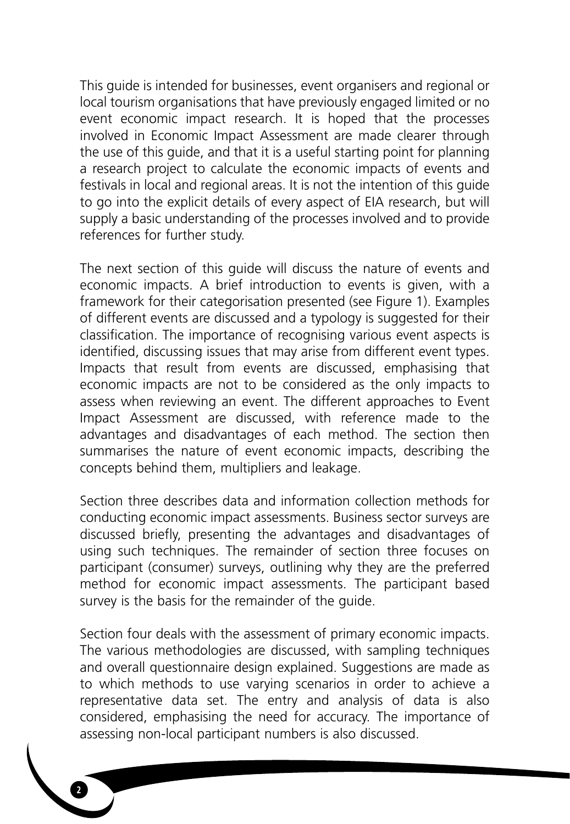This guide is intended for businesses, event organisers and regional or local tourism organisations that have previously engaged limited or no event economic impact research. It is hoped that the processes involved in Economic Impact Assessment are made clearer through the use of this guide, and that it is a useful starting point for planning a research project to calculate the economic impacts of events and festivals in local and regional areas. It is not the intention of this guide to go into the explicit details of every aspect of EIA research, but will supply a basic understanding of the processes involved and to provide references for further study.

The next section of this guide will discuss the nature of events and economic impacts. A brief introduction to events is given, with a framework for their categorisation presented (see Figure 1). Examples of different events are discussed and a typology is suggested for their classification. The importance of recognising various event aspects is identified, discussing issues that may arise from different event types. Impacts that result from events are discussed, emphasising that economic impacts are not to be considered as the only impacts to assess when reviewing an event. The different approaches to Event Impact Assessment are discussed, with reference made to the advantages and disadvantages of each method. The section then summarises the nature of event economic impacts, describing the concepts behind them, multipliers and leakage.

Section three describes data and information collection methods for conducting economic impact assessments. Business sector surveys are discussed briefly, presenting the advantages and disadvantages of using such techniques. The remainder of section three focuses on participant (consumer) surveys, outlining why they are the preferred method for economic impact assessments. The participant based survey is the basis for the remainder of the guide.

Section four deals with the assessment of primary economic impacts. The various methodologies are discussed, with sampling techniques and overall questionnaire design explained. Suggestions are made as to which methods to use varying scenarios in order to achieve a representative data set. The entry and analysis of data is also considered, emphasising the need for accuracy. The importance of assessing non-local participant numbers is also discussed.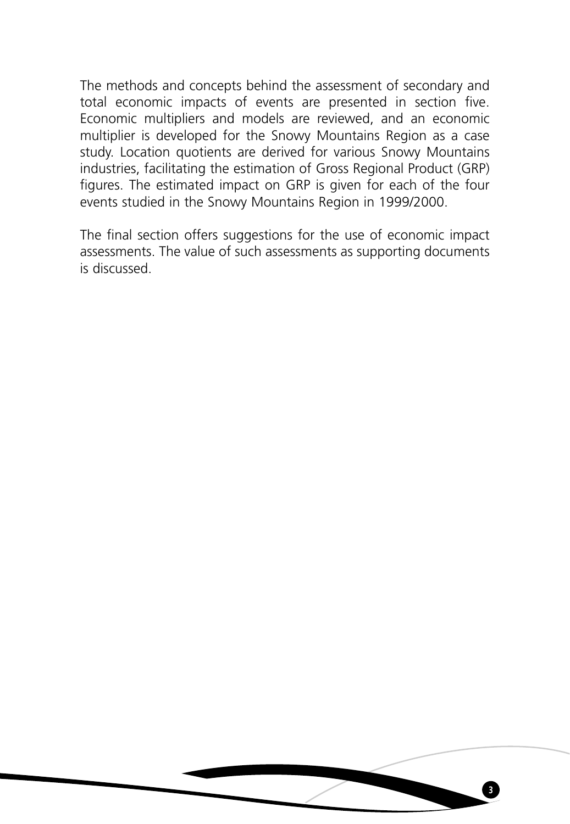The methods and concepts behind the assessment of secondary and total economic impacts of events are presented in section five. Economic multipliers and models are reviewed, and an economic multiplier is developed for the Snowy Mountains Region as a case study. Location quotients are derived for various Snowy Mountains industries, facilitating the estimation of Gross Regional Product (GRP) figures. The estimated impact on GRP is given for each of the four events studied in the Snowy Mountains Region in 1999/2000.

The final section offers suggestions for the use of economic impact assessments. The value of such assessments as supporting documents is discussed.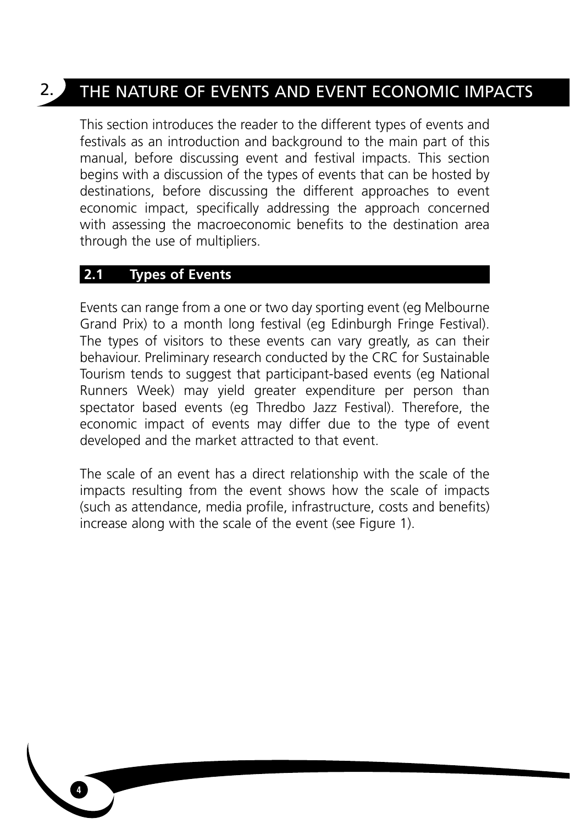# 2. THE NATURE OF EVENTS AND EVENT ECONOMIC IMPACTS

This section introduces the reader to the different types of events and festivals as an introduction and background to the main part of this manual, before discussing event and festival impacts. This section begins with a discussion of the types of events that can be hosted by destinations, before discussing the different approaches to event economic impact, specifically addressing the approach concerned with assessing the macroeconomic benefits to the destination area through the use of multipliers.

# **2.1 Types of Events**

Events can range from a one or two day sporting event (eg Melbourne Grand Prix) to a month long festival (eg Edinburgh Fringe Festival). The types of visitors to these events can vary greatly, as can their behaviour. Preliminary research conducted by the CRC for Sustainable Tourism tends to suggest that participant-based events (eg National Runners Week) may yield greater expenditure per person than spectator based events (eg Thredbo Jazz Festival). Therefore, the economic impact of events may differ due to the type of event developed and the market attracted to that event.

The scale of an event has a direct relationship with the scale of the impacts resulting from the event shows how the scale of impacts (such as attendance, media profile, infrastructure, costs and benefits) increase along with the scale of the event (see Figure 1).

**4**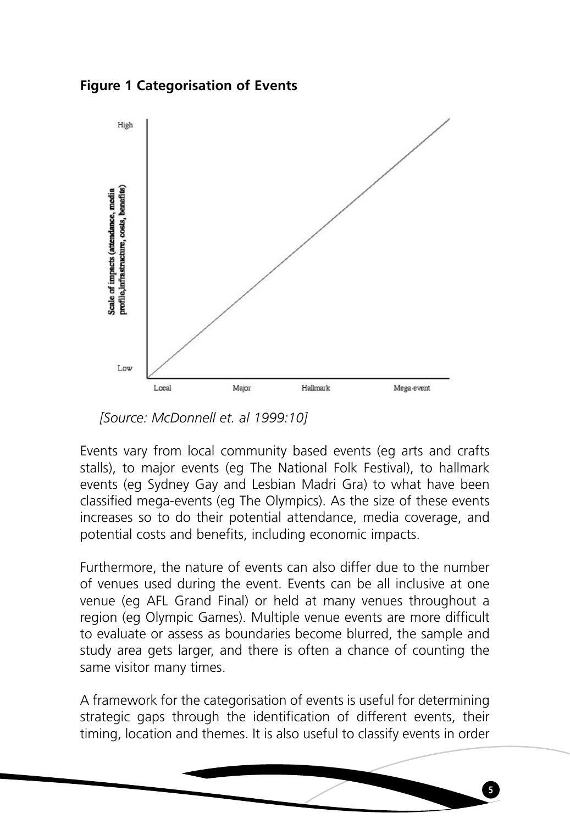**Figure 1 Categorisation of Events**



*[Source: McDonnell et. al 1999:10]*

Events vary from local community based events (eg arts and crafts stalls), to major events (eg The National Folk Festival), to hallmark events (eg Sydney Gay and Lesbian Madri Gra) to what have been classified mega-events (eg The Olympics). As the size of these events increases so to do their potential attendance, media coverage, and potential costs and benefits, including economic impacts.

Furthermore, the nature of events can also differ due to the number of venues used during the event. Events can be all inclusive at one venue (eg AFL Grand Final) or held at many venues throughout a region (eg Olympic Games). Multiple venue events are more difficult to evaluate or assess as boundaries become blurred, the sample and study area gets larger, and there is often a chance of counting the same visitor many times.

A framework for the categorisation of events is useful for determining strategic gaps through the identification of different events, their timing, location and themes. It is also useful to classify events in order

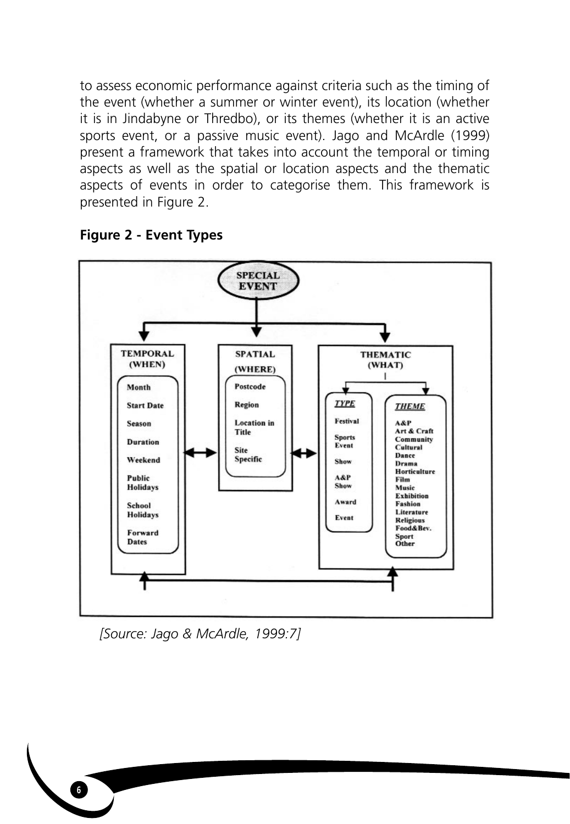to assess economic performance against criteria such as the timing of the event (whether a summer or winter event), its location (whether it is in Jindabyne or Thredbo), or its themes (whether it is an active sports event, or a passive music event). Jago and McArdle (1999) present a framework that takes into account the temporal or timing aspects as well as the spatial or location aspects and the thematic aspects of events in order to categorise them. This framework is presented in Figure 2.



# **Figure 2 - Event Types**

*[Source: Jago & McArdle, 1999:7]*

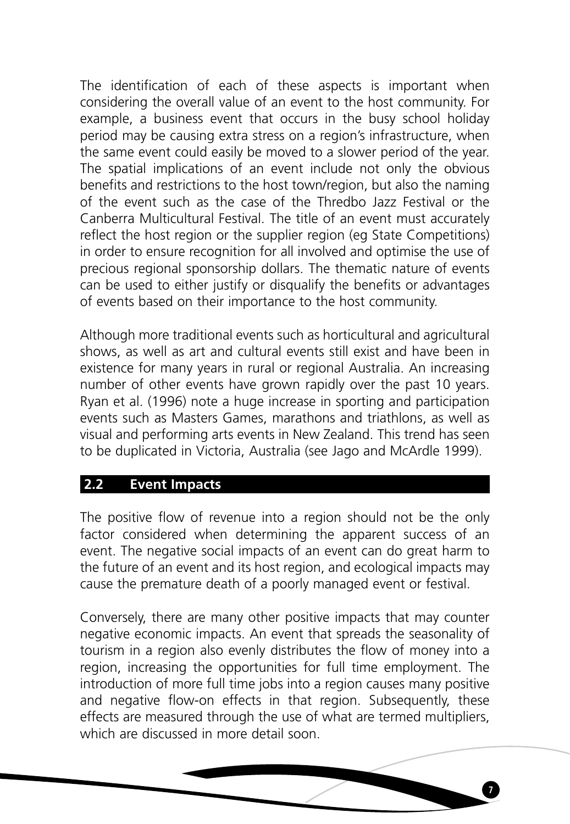The identification of each of these aspects is important when considering the overall value of an event to the host community. For example, a business event that occurs in the busy school holiday period may be causing extra stress on a region's infrastructure, when the same event could easily be moved to a slower period of the year. The spatial implications of an event include not only the obvious benefits and restrictions to the host town/region, but also the naming of the event such as the case of the Thredbo Jazz Festival or the Canberra Multicultural Festival. The title of an event must accurately reflect the host region or the supplier region (eg State Competitions) in order to ensure recognition for all involved and optimise the use of precious regional sponsorship dollars. The thematic nature of events can be used to either justify or disqualify the benefits or advantages of events based on their importance to the host community.

Although more traditional events such as horticultural and agricultural shows, as well as art and cultural events still exist and have been in existence for many years in rural or regional Australia. An increasing number of other events have grown rapidly over the past 10 years. Ryan et al. (1996) note a huge increase in sporting and participation events such as Masters Games, marathons and triathlons, as well as visual and performing arts events in New Zealand. This trend has seen to be duplicated in Victoria, Australia (see Jago and McArdle 1999).

# **2.2 Event Impacts**

The positive flow of revenue into a region should not be the only factor considered when determining the apparent success of an event. The negative social impacts of an event can do great harm to the future of an event and its host region, and ecological impacts may cause the premature death of a poorly managed event or festival.

Conversely, there are many other positive impacts that may counter negative economic impacts. An event that spreads the seasonality of tourism in a region also evenly distributes the flow of money into a region, increasing the opportunities for full time employment. The introduction of more full time jobs into a region causes many positive and negative flow-on effects in that region. Subsequently, these effects are measured through the use of what are termed multipliers, which are discussed in more detail soon.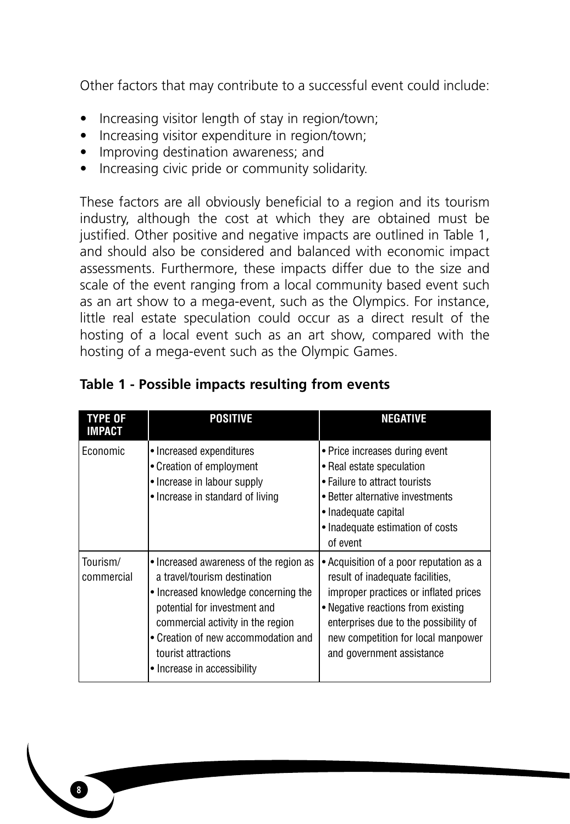Other factors that may contribute to a successful event could include:

- Increasing visitor length of stay in region/town;
- Increasing visitor expenditure in region/town;
- Improving destination awareness; and
- Increasing civic pride or community solidarity.

These factors are all obviously beneficial to a region and its tourism industry, although the cost at which they are obtained must be justified. Other positive and negative impacts are outlined in Table 1, and should also be considered and balanced with economic impact assessments. Furthermore, these impacts differ due to the size and scale of the event ranging from a local community based event such as an art show to a mega-event, such as the Olympics. For instance, little real estate speculation could occur as a direct result of the hosting of a local event such as an art show, compared with the hosting of a mega-event such as the Olympic Games.

| <b>TYPE OF</b><br>IMPACT | <b>POSITIVE</b>                                                                                                                                                                                                                                                                  | <b>NEGATIVE</b>                                                                                                                                                                                                                                                        |
|--------------------------|----------------------------------------------------------------------------------------------------------------------------------------------------------------------------------------------------------------------------------------------------------------------------------|------------------------------------------------------------------------------------------------------------------------------------------------------------------------------------------------------------------------------------------------------------------------|
| Economic                 | • Increased expenditures<br>• Creation of employment<br>• Increase in labour supply<br>• Increase in standard of living                                                                                                                                                          | • Price increases during event<br>• Real estate speculation<br>• Failure to attract tourists<br>• Better alternative investments<br>• Inadequate capital<br>• Inadequate estimation of costs<br>of event                                                               |
| Tourism/<br>commercial   | • Increased awareness of the region as<br>a travel/tourism destination<br>• Increased knowledge concerning the<br>potential for investment and<br>commercial activity in the region<br>• Creation of new accommodation and<br>tourist attractions<br>• Increase in accessibility | • Acquisition of a poor reputation as a<br>result of inadequate facilities,<br>improper practices or inflated prices<br>• Negative reactions from existing<br>enterprises due to the possibility of<br>new competition for local manpower<br>and government assistance |

# **Table 1 - Possible impacts resulting from events**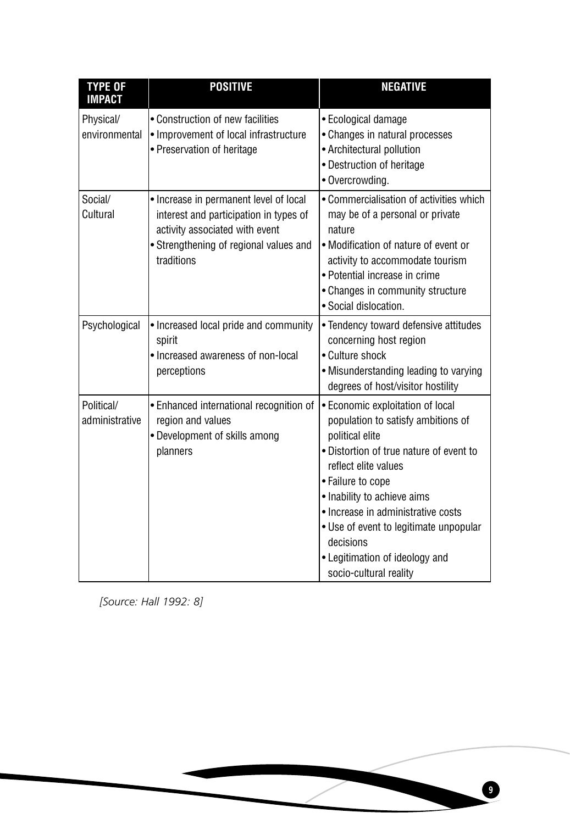| <b>TYPE OF</b><br><b>IMPACT</b> | <b>POSITIVE</b>                                                                                                                                                            | <b>NEGATIVE</b>                                                                                                                                                                                                                                                                                                                                                           |
|---------------------------------|----------------------------------------------------------------------------------------------------------------------------------------------------------------------------|---------------------------------------------------------------------------------------------------------------------------------------------------------------------------------------------------------------------------------------------------------------------------------------------------------------------------------------------------------------------------|
| Physical/<br>environmental      | • Construction of new facilities<br>• Improvement of local infrastructure<br>• Preservation of heritage                                                                    | • Ecological damage<br>• Changes in natural processes<br>• Architectural pollution<br>• Destruction of heritage<br>· Overcrowding.                                                                                                                                                                                                                                        |
| Social/<br>Cultural             | • Increase in permanent level of local<br>interest and participation in types of<br>activity associated with event<br>• Strengthening of regional values and<br>traditions | • Commercialisation of activities which<br>may be of a personal or private<br>nature<br>• Modification of nature of event or<br>activity to accommodate tourism<br>• Potential increase in crime<br>• Changes in community structure<br>• Social dislocation.                                                                                                             |
| Psychological                   | • Increased local pride and community<br>spirit<br>• Increased awareness of non-local<br>perceptions                                                                       | • Tendency toward defensive attitudes<br>concerning host region<br>• Culture shock<br>• Misunderstanding leading to varying<br>degrees of host/visitor hostility                                                                                                                                                                                                          |
| Political/<br>administrative    | • Enhanced international recognition of<br>region and values<br>• Development of skills among<br>planners                                                                  | • Economic exploitation of local<br>population to satisfy ambitions of<br>political elite<br>• Distortion of true nature of event to<br>reflect elite values<br>• Failure to cope<br>• Inability to achieve aims<br>• Increase in administrative costs<br>• Use of event to legitimate unpopular<br>decisions<br>• Legitimation of ideology and<br>socio-cultural reality |

*[Source: Hall 1992: 8]*

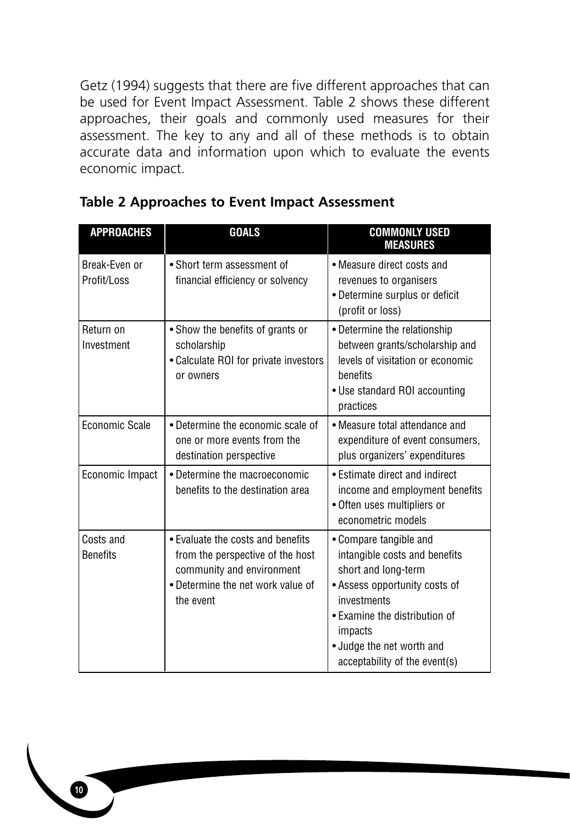Getz (1994) suggests that there are five different approaches that can be used for Event Impact Assessment. Table 2 shows these different approaches, their goals and commonly used measures for their assessment. The key to any and all of these methods is to obtain accurate data and information upon which to evaluate the events economic impact.

| <b>APPROACHES</b>            | <b>GOALS</b>                                                                                                                                         | <b>COMMONLY USED</b><br><b>MEASURES</b>                                                                                                                                                                                                  |
|------------------------------|------------------------------------------------------------------------------------------------------------------------------------------------------|------------------------------------------------------------------------------------------------------------------------------------------------------------------------------------------------------------------------------------------|
| Break-Even or<br>Profit/Loss | • Short term assessment of<br>financial efficiency or solvency                                                                                       | • Measure direct costs and<br>revenues to organisers<br>• Determine surplus or deficit<br>(profit or loss)                                                                                                                               |
| Return on<br>Investment      | • Show the benefits of grants or<br>scholarship<br>• Calculate ROI for private investors<br>or owners                                                | • Determine the relationship<br>between grants/scholarship and<br>levels of visitation or economic<br>benefits<br>• Use standard ROI accounting<br>practices                                                                             |
| Economic Scale               | • Determine the economic scale of<br>one or more events from the<br>destination perspective                                                          | • Measure total attendance and<br>expenditure of event consumers.<br>plus organizers' expenditures                                                                                                                                       |
| Economic Impact              | • Determine the macroeconomic<br>benefits to the destination area                                                                                    | • Estimate direct and indirect<br>income and employment benefits<br>· Often uses multipliers or<br>econometric models                                                                                                                    |
| Costs and<br><b>Benefits</b> | • Evaluate the costs and benefits<br>from the perspective of the host<br>community and environment<br>• Determine the net work value of<br>the event | • Compare tangible and<br>intangible costs and benefits<br>short and long-term<br>• Assess opportunity costs of<br>investments<br>• Examine the distribution of<br>impacts<br>· Judge the net worth and<br>acceptability of the event(s) |

# **Table 2 Approaches to Event Impact Assessment**

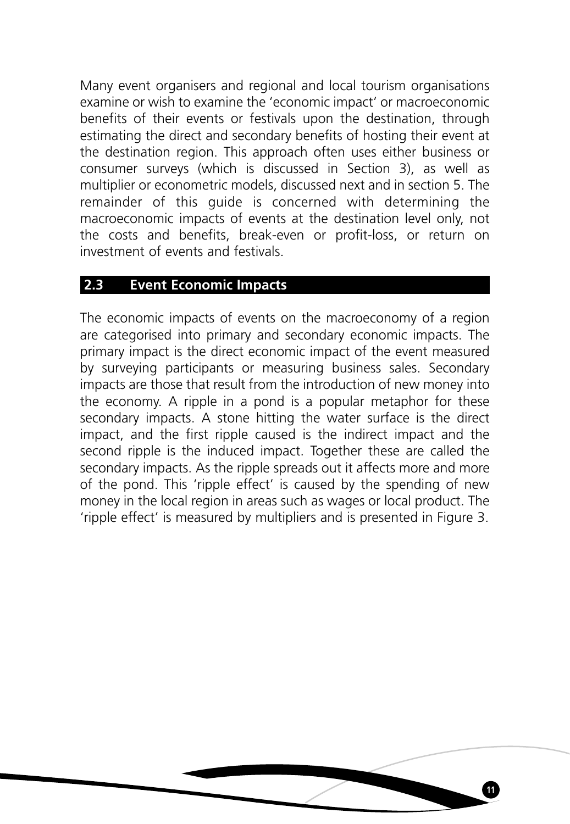Many event organisers and regional and local tourism organisations examine or wish to examine the 'economic impact' or macroeconomic benefits of their events or festivals upon the destination, through estimating the direct and secondary benefits of hosting their event at the destination region. This approach often uses either business or consumer surveys (which is discussed in Section 3), as well as multiplier or econometric models, discussed next and in section 5. The remainder of this guide is concerned with determining the macroeconomic impacts of events at the destination level only, not the costs and benefits, break-even or profit-loss, or return on investment of events and festivals.

# **2.3 Event Economic Impacts**

The economic impacts of events on the macroeconomy of a region are categorised into primary and secondary economic impacts. The primary impact is the direct economic impact of the event measured by surveying participants or measuring business sales. Secondary impacts are those that result from the introduction of new money into the economy. A ripple in a pond is a popular metaphor for these secondary impacts. A stone hitting the water surface is the direct impact, and the first ripple caused is the indirect impact and the second ripple is the induced impact. Together these are called the secondary impacts. As the ripple spreads out it affects more and more of the pond. This 'ripple effect' is caused by the spending of new money in the local region in areas such as wages or local product. The 'ripple effect' is measured by multipliers and is presented in Figure 3.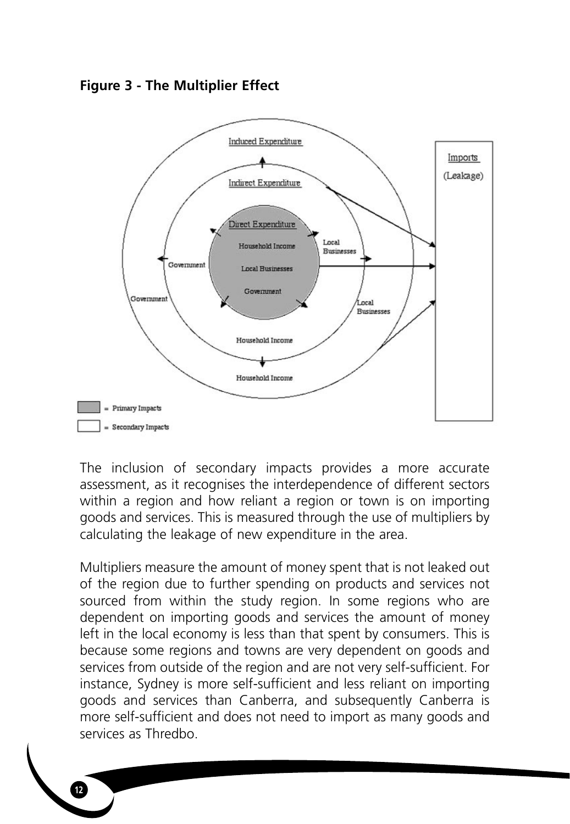



The inclusion of secondary impacts provides a more accurate assessment, as it recognises the interdependence of different sectors within a region and how reliant a region or town is on importing goods and services. This is measured through the use of multipliers by calculating the leakage of new expenditure in the area.

Multipliers measure the amount of money spent that is not leaked out of the region due to further spending on products and services not sourced from within the study region. In some regions who are dependent on importing goods and services the amount of money left in the local economy is less than that spent by consumers. This is because some regions and towns are very dependent on goods and services from outside of the region and are not very self-sufficient. For instance, Sydney is more self-sufficient and less reliant on importing goods and services than Canberra, and subsequently Canberra is more self-sufficient and does not need to import as many goods and services as Thredbo.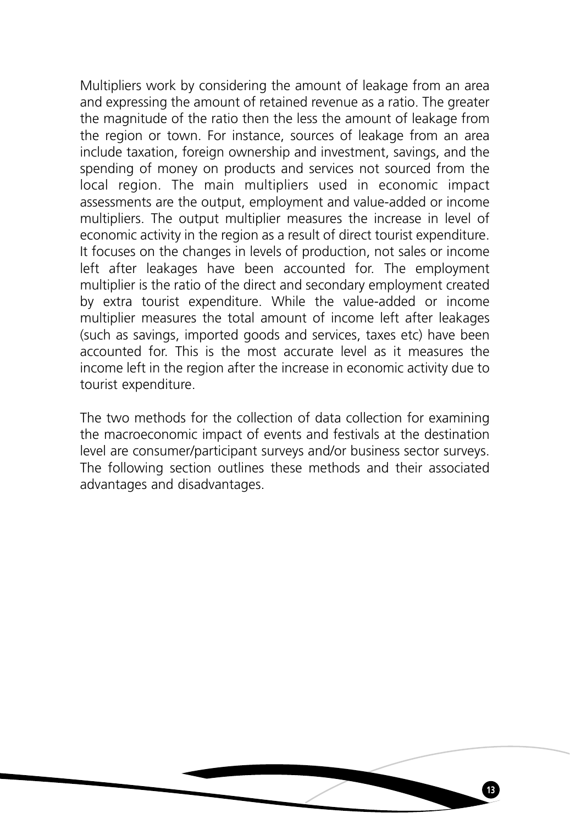Multipliers work by considering the amount of leakage from an area and expressing the amount of retained revenue as a ratio. The greater the magnitude of the ratio then the less the amount of leakage from the region or town. For instance, sources of leakage from an area include taxation, foreign ownership and investment, savings, and the spending of money on products and services not sourced from the local region. The main multipliers used in economic impact assessments are the output, employment and value-added or income multipliers. The output multiplier measures the increase in level of economic activity in the region as a result of direct tourist expenditure. It focuses on the changes in levels of production, not sales or income left after leakages have been accounted for. The employment multiplier is the ratio of the direct and secondary employment created by extra tourist expenditure. While the value-added or income multiplier measures the total amount of income left after leakages (such as savings, imported goods and services, taxes etc) have been accounted for. This is the most accurate level as it measures the income left in the region after the increase in economic activity due to tourist expenditure.

The two methods for the collection of data collection for examining the macroeconomic impact of events and festivals at the destination level are consumer/participant surveys and/or business sector surveys. The following section outlines these methods and their associated advantages and disadvantages.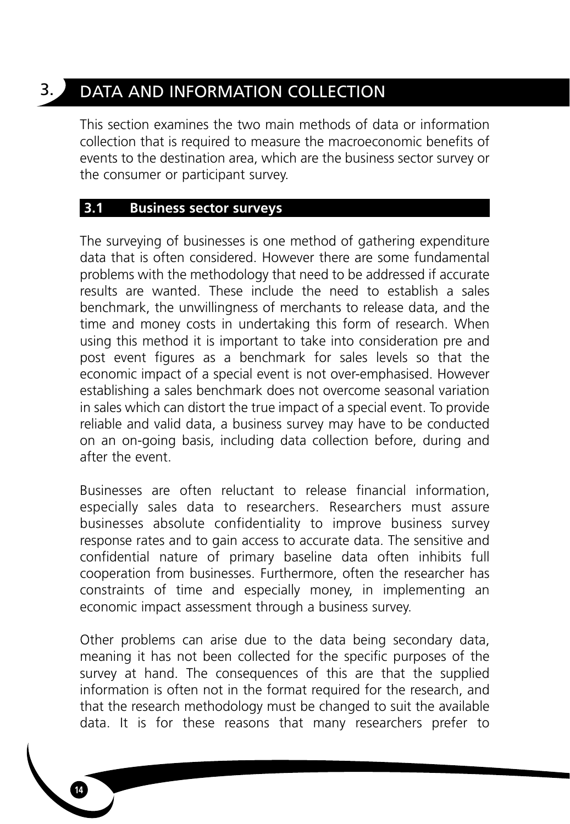# 3. DATA AND INFORMATION COLLECTION

This section examines the two main methods of data or information collection that is required to measure the macroeconomic benefits of events to the destination area, which are the business sector survey or the consumer or participant survey.

## **3.1 Business sector surveys**

The surveying of businesses is one method of gathering expenditure data that is often considered. However there are some fundamental problems with the methodology that need to be addressed if accurate results are wanted. These include the need to establish a sales benchmark, the unwillingness of merchants to release data, and the time and money costs in undertaking this form of research. When using this method it is important to take into consideration pre and post event figures as a benchmark for sales levels so that the economic impact of a special event is not over-emphasised. However establishing a sales benchmark does not overcome seasonal variation in sales which can distort the true impact of a special event. To provide reliable and valid data, a business survey may have to be conducted on an on-going basis, including data collection before, during and after the event.

Businesses are often reluctant to release financial information, especially sales data to researchers. Researchers must assure businesses absolute confidentiality to improve business survey response rates and to gain access to accurate data. The sensitive and confidential nature of primary baseline data often inhibits full cooperation from businesses. Furthermore, often the researcher has constraints of time and especially money, in implementing an economic impact assessment through a business survey.

Other problems can arise due to the data being secondary data, meaning it has not been collected for the specific purposes of the survey at hand. The consequences of this are that the supplied information is often not in the format required for the research, and that the research methodology must be changed to suit the available data. It is for these reasons that many researchers prefer to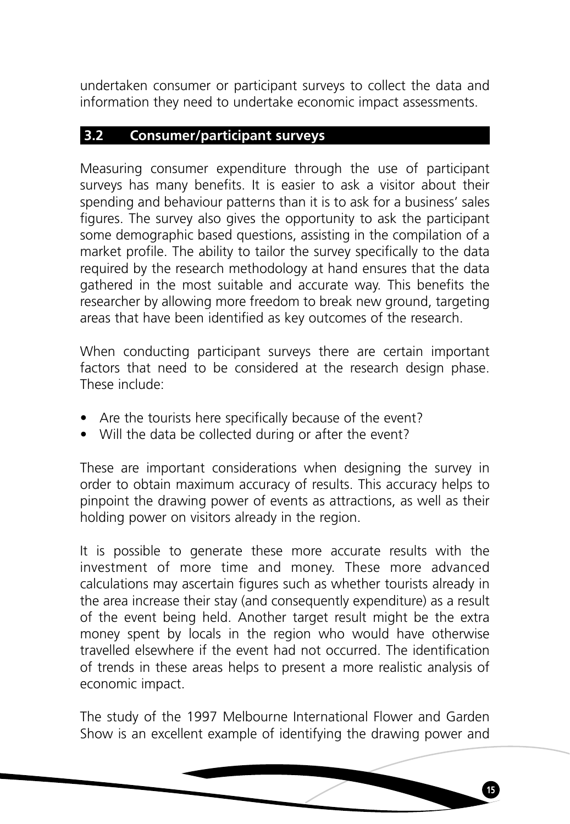undertaken consumer or participant surveys to collect the data and information they need to undertake economic impact assessments.

# **3.2 Consumer/participant surveys**

Measuring consumer expenditure through the use of participant surveys has many benefits. It is easier to ask a visitor about their spending and behaviour patterns than it is to ask for a business' sales figures. The survey also gives the opportunity to ask the participant some demographic based questions, assisting in the compilation of a market profile. The ability to tailor the survey specifically to the data required by the research methodology at hand ensures that the data gathered in the most suitable and accurate way. This benefits the researcher by allowing more freedom to break new ground, targeting areas that have been identified as key outcomes of the research.

When conducting participant surveys there are certain important factors that need to be considered at the research design phase. These include:

- Are the tourists here specifically because of the event?
- Will the data be collected during or after the event?

These are important considerations when designing the survey in order to obtain maximum accuracy of results. This accuracy helps to pinpoint the drawing power of events as attractions, as well as their holding power on visitors already in the region.

It is possible to generate these more accurate results with the investment of more time and money. These more advanced calculations may ascertain figures such as whether tourists already in the area increase their stay (and consequently expenditure) as a result of the event being held. Another target result might be the extra money spent by locals in the region who would have otherwise travelled elsewhere if the event had not occurred. The identification of trends in these areas helps to present a more realistic analysis of economic impact.

The study of the 1997 Melbourne International Flower and Garden Show is an excellent example of identifying the drawing power and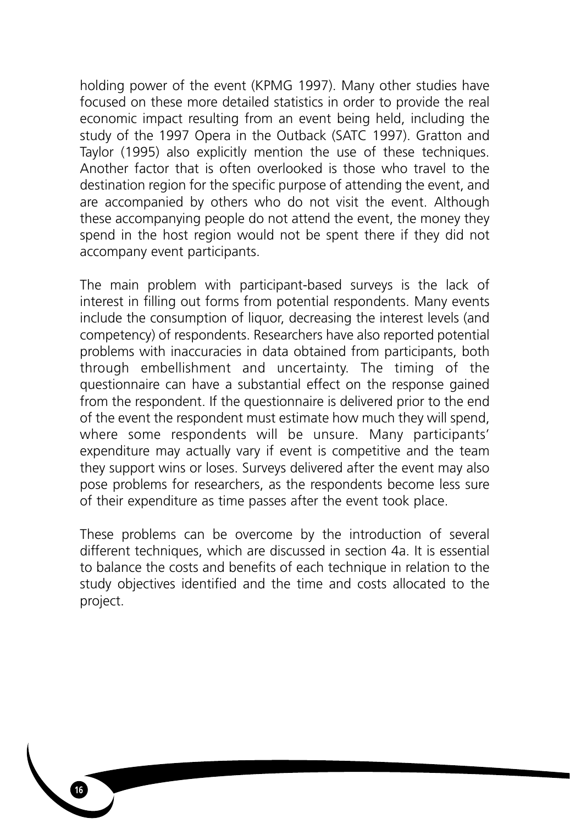holding power of the event (KPMG 1997). Many other studies have focused on these more detailed statistics in order to provide the real economic impact resulting from an event being held, including the study of the 1997 Opera in the Outback (SATC 1997). Gratton and Taylor (1995) also explicitly mention the use of these techniques. Another factor that is often overlooked is those who travel to the destination region for the specific purpose of attending the event, and are accompanied by others who do not visit the event. Although these accompanying people do not attend the event, the money they spend in the host region would not be spent there if they did not accompany event participants.

The main problem with participant-based surveys is the lack of interest in filling out forms from potential respondents. Many events include the consumption of liquor, decreasing the interest levels (and competency) of respondents. Researchers have also reported potential problems with inaccuracies in data obtained from participants, both through embellishment and uncertainty. The timing of the questionnaire can have a substantial effect on the response gained from the respondent. If the questionnaire is delivered prior to the end of the event the respondent must estimate how much they will spend, where some respondents will be unsure. Many participants' expenditure may actually vary if event is competitive and the team they support wins or loses. Surveys delivered after the event may also pose problems for researchers, as the respondents become less sure of their expenditure as time passes after the event took place.

These problems can be overcome by the introduction of several different techniques, which are discussed in section 4a. It is essential to balance the costs and benefits of each technique in relation to the study objectives identified and the time and costs allocated to the project.

**16**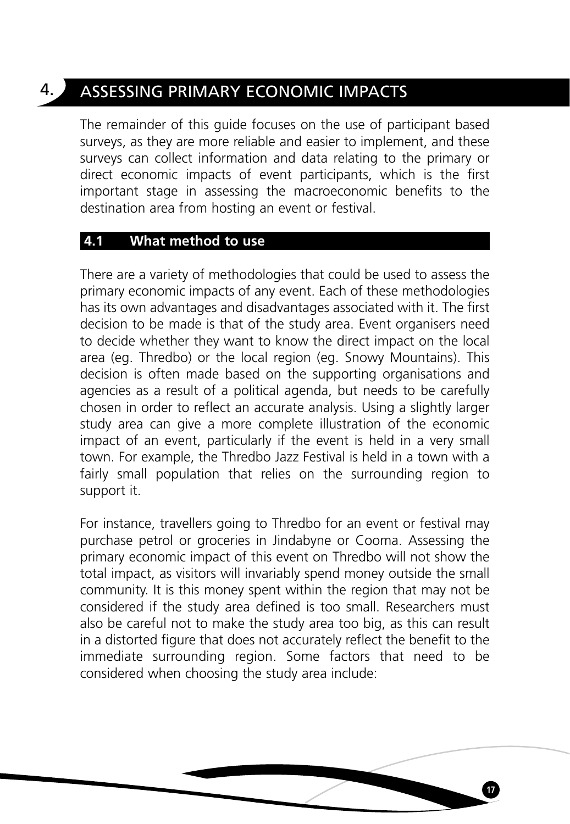# 4. ASSESSING PRIMARY ECONOMIC IMPACTS

The remainder of this guide focuses on the use of participant based surveys, as they are more reliable and easier to implement, and these surveys can collect information and data relating to the primary or direct economic impacts of event participants, which is the first important stage in assessing the macroeconomic benefits to the destination area from hosting an event or festival.

# **4.1 What method to use**

There are a variety of methodologies that could be used to assess the primary economic impacts of any event. Each of these methodologies has its own advantages and disadvantages associated with it. The first decision to be made is that of the study area. Event organisers need to decide whether they want to know the direct impact on the local area (eg. Thredbo) or the local region (eg. Snowy Mountains). This decision is often made based on the supporting organisations and agencies as a result of a political agenda, but needs to be carefully chosen in order to reflect an accurate analysis. Using a slightly larger study area can give a more complete illustration of the economic impact of an event, particularly if the event is held in a very small town. For example, the Thredbo Jazz Festival is held in a town with a fairly small population that relies on the surrounding region to support it.

For instance, travellers going to Thredbo for an event or festival may purchase petrol or groceries in Jindabyne or Cooma. Assessing the primary economic impact of this event on Thredbo will not show the total impact, as visitors will invariably spend money outside the small community. It is this money spent within the region that may not be considered if the study area defined is too small. Researchers must also be careful not to make the study area too big, as this can result in a distorted figure that does not accurately reflect the benefit to the immediate surrounding region. Some factors that need to be considered when choosing the study area include: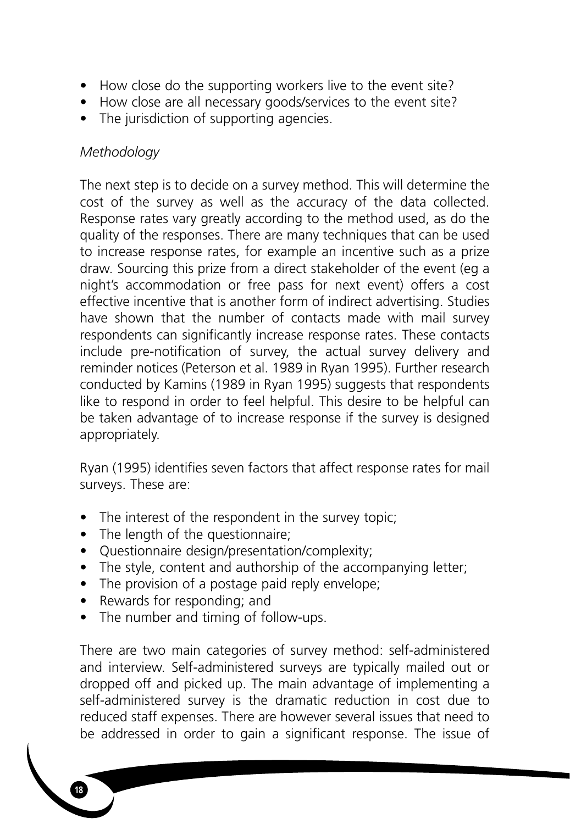- How close do the supporting workers live to the event site?
- How close are all necessary goods/services to the event site?
- The jurisdiction of supporting agencies.

# *Methodology*

The next step is to decide on a survey method. This will determine the cost of the survey as well as the accuracy of the data collected. Response rates vary greatly according to the method used, as do the quality of the responses. There are many techniques that can be used to increase response rates, for example an incentive such as a prize draw. Sourcing this prize from a direct stakeholder of the event (eg a night's accommodation or free pass for next event) offers a cost effective incentive that is another form of indirect advertising. Studies have shown that the number of contacts made with mail survey respondents can significantly increase response rates. These contacts include pre-notification of survey, the actual survey delivery and reminder notices (Peterson et al. 1989 in Ryan 1995). Further research conducted by Kamins (1989 in Ryan 1995) suggests that respondents like to respond in order to feel helpful. This desire to be helpful can be taken advantage of to increase response if the survey is designed appropriately.

Ryan (1995) identifies seven factors that affect response rates for mail surveys. These are:

- The interest of the respondent in the survey topic;
- The length of the questionnaire;
- Questionnaire design/presentation/complexity;
- The style, content and authorship of the accompanying letter:
- The provision of a postage paid reply envelope;
- Rewards for responding; and

**18**

• The number and timing of follow-ups.

There are two main categories of survey method: self-administered and interview. Self-administered surveys are typically mailed out or dropped off and picked up. The main advantage of implementing a self-administered survey is the dramatic reduction in cost due to reduced staff expenses. There are however several issues that need to be addressed in order to gain a significant response. The issue of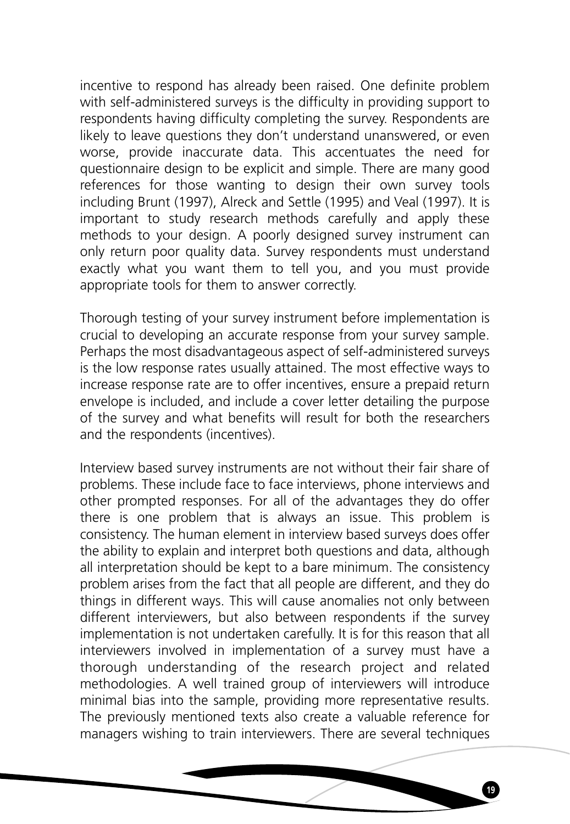incentive to respond has already been raised. One definite problem with self-administered surveys is the difficulty in providing support to respondents having difficulty completing the survey. Respondents are likely to leave questions they don't understand unanswered, or even worse, provide inaccurate data. This accentuates the need for questionnaire design to be explicit and simple. There are many good references for those wanting to design their own survey tools including Brunt (1997), Alreck and Settle (1995) and Veal (1997). It is important to study research methods carefully and apply these methods to your design. A poorly designed survey instrument can only return poor quality data. Survey respondents must understand exactly what you want them to tell you, and you must provide appropriate tools for them to answer correctly.

Thorough testing of your survey instrument before implementation is crucial to developing an accurate response from your survey sample. Perhaps the most disadvantageous aspect of self-administered surveys is the low response rates usually attained. The most effective ways to increase response rate are to offer incentives, ensure a prepaid return envelope is included, and include a cover letter detailing the purpose of the survey and what benefits will result for both the researchers and the respondents (incentives).

Interview based survey instruments are not without their fair share of problems. These include face to face interviews, phone interviews and other prompted responses. For all of the advantages they do offer there is one problem that is always an issue. This problem is consistency. The human element in interview based surveys does offer the ability to explain and interpret both questions and data, although all interpretation should be kept to a bare minimum. The consistency problem arises from the fact that all people are different, and they do things in different ways. This will cause anomalies not only between different interviewers, but also between respondents if the survey implementation is not undertaken carefully. It is for this reason that all interviewers involved in implementation of a survey must have a thorough understanding of the research project and related methodologies. A well trained group of interviewers will introduce minimal bias into the sample, providing more representative results. The previously mentioned texts also create a valuable reference for managers wishing to train interviewers. There are several techniques

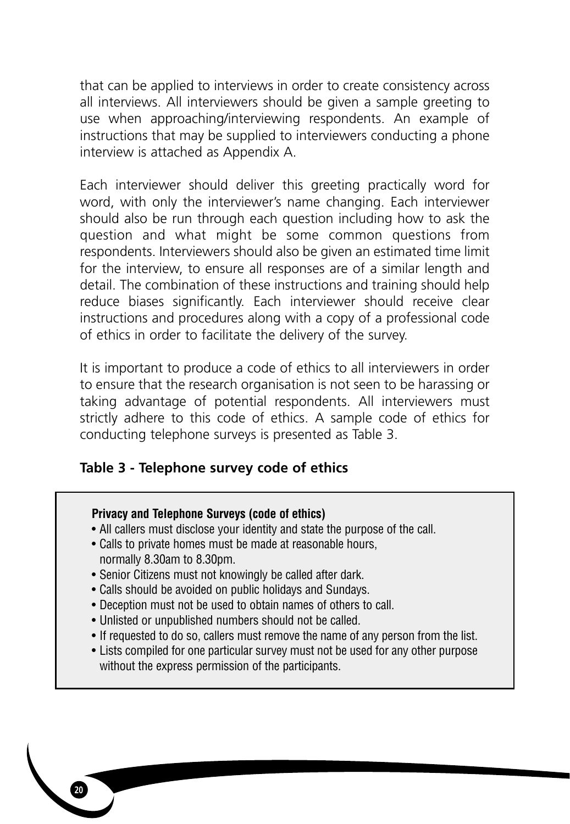that can be applied to interviews in order to create consistency across all interviews. All interviewers should be given a sample greeting to use when approaching/interviewing respondents. An example of instructions that may be supplied to interviewers conducting a phone interview is attached as Appendix A.

Each interviewer should deliver this greeting practically word for word, with only the interviewer's name changing. Each interviewer should also be run through each question including how to ask the question and what might be some common questions from respondents. Interviewers should also be given an estimated time limit for the interview, to ensure all responses are of a similar length and detail. The combination of these instructions and training should help reduce biases significantly. Each interviewer should receive clear instructions and procedures along with a copy of a professional code of ethics in order to facilitate the delivery of the survey.

It is important to produce a code of ethics to all interviewers in order to ensure that the research organisation is not seen to be harassing or taking advantage of potential respondents. All interviewers must strictly adhere to this code of ethics. A sample code of ethics for conducting telephone surveys is presented as Table 3.

# **Table 3 - Telephone survey code of ethics**

# **Privacy and Telephone Surveys (code of ethics)**

- All callers must disclose your identity and state the purpose of the call.
- Calls to private homes must be made at reasonable hours, normally 8.30am to 8.30pm.
- Senior Citizens must not knowingly be called after dark.
- Calls should be avoided on public holidays and Sundays.
- Deception must not be used to obtain names of others to call.
- Unlisted or unpublished numbers should not be called.

- If requested to do so, callers must remove the name of any person from the list.
- Lists compiled for one particular survey must not be used for any other purpose without the express permission of the participants.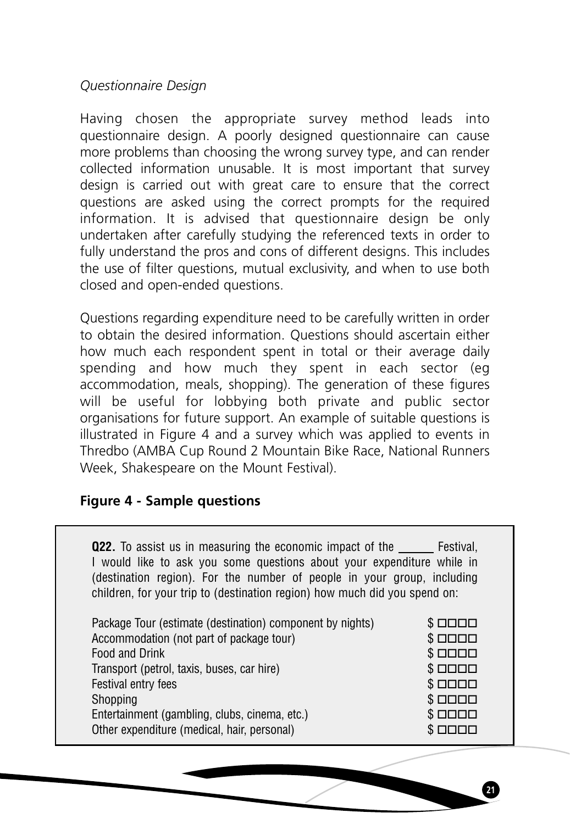*Questionnaire Design*

Having chosen the appropriate survey method leads into questionnaire design. A poorly designed questionnaire can cause more problems than choosing the wrong survey type, and can render collected information unusable. It is most important that survey design is carried out with great care to ensure that the correct questions are asked using the correct prompts for the required information. It is advised that questionnaire design be only undertaken after carefully studying the referenced texts in order to fully understand the pros and cons of different designs. This includes the use of filter questions, mutual exclusivity, and when to use both closed and open-ended questions.

Questions regarding expenditure need to be carefully written in order to obtain the desired information. Questions should ascertain either how much each respondent spent in total or their average daily spending and how much they spent in each sector (eg accommodation, meals, shopping). The generation of these figures will be useful for lobbying both private and public sector organisations for future support. An example of suitable questions is illustrated in Figure 4 and a survey which was applied to events in Thredbo (AMBA Cup Round 2 Mountain Bike Race, National Runners Week, Shakespeare on the Mount Festival).

# **Figure 4 - Sample questions**

**Q22.** To assist us in measuring the economic impact of the Festival, I would like to ask you some questions about your expenditure while in (destination region). For the number of people in your group, including children, for your trip to (destination region) how much did you spend on:

| $S$ $\Box$ $\Box$ |
|-------------------|
| \$                |
| \$                |
| \$                |
| \$                |
| \$                |
| \$                |
| $$$ $000$         |
|                   |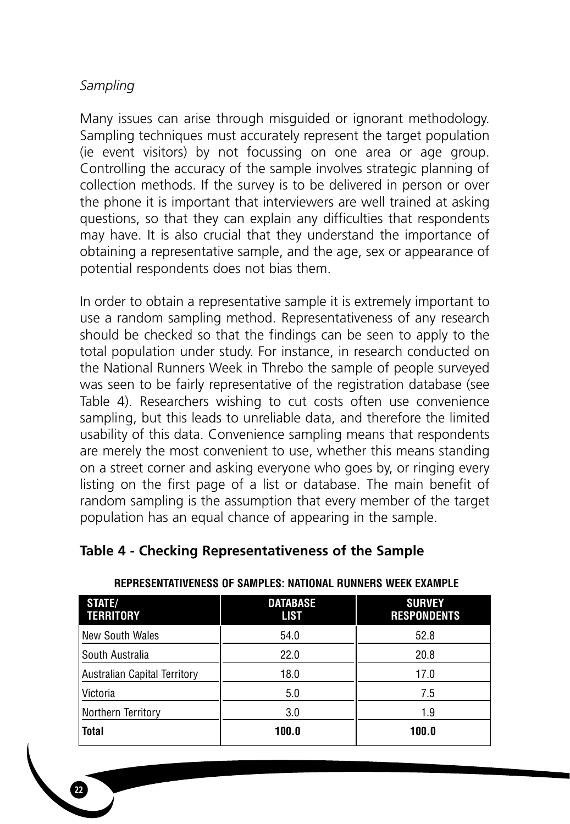# *Sampling*

Many issues can arise through misguided or ignorant methodology. Sampling techniques must accurately represent the target population (ie event visitors) by not focussing on one area or age group. Controlling the accuracy of the sample involves strategic planning of collection methods. If the survey is to be delivered in person or over the phone it is important that interviewers are well trained at asking questions, so that they can explain any difficulties that respondents may have. It is also crucial that they understand the importance of obtaining a representative sample, and the age, sex or appearance of potential respondents does not bias them.

In order to obtain a representative sample it is extremely important to use a random sampling method. Representativeness of any research should be checked so that the findings can be seen to apply to the total population under study. For instance, in research conducted on the National Runners Week in Threbo the sample of people surveyed was seen to be fairly representative of the registration database (see Table 4). Researchers wishing to cut costs often use convenience sampling, but this leads to unreliable data, and therefore the limited usability of this data. Convenience sampling means that respondents are merely the most convenient to use, whether this means standing on a street corner and asking everyone who goes by, or ringing every listing on the first page of a list or database. The main benefit of random sampling is the assumption that every member of the target population has an equal chance of appearing in the sample.

# **Table 4 - Checking Representativeness of the Sample**

| STATE/<br><b>TERRITORY</b>   | <b>DATABASE</b><br><b>LIST</b> | <b>SURVEY</b><br><b>RESPONDENTS</b> |
|------------------------------|--------------------------------|-------------------------------------|
| New South Wales              | 54.0                           | 52.8                                |
| l South Australia            | 22.0                           | 20.8                                |
| Australian Capital Territory | 18.0                           | 17.0                                |
| l Victoria                   | 5.0                            | 7.5                                 |
| Northern Territory           | 3.0                            | 1.9                                 |
| <b>Total</b>                 | 100.0                          | 100.0                               |

## **REPRESENTATIVENESS OF SAMPLES: NATIONAL RUNNERS WEEK EXAMPLE**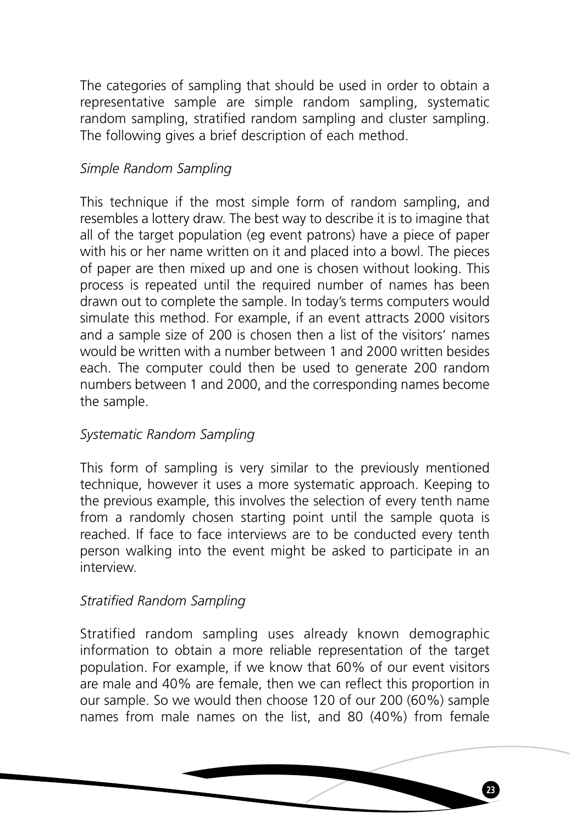The categories of sampling that should be used in order to obtain a representative sample are simple random sampling, systematic random sampling, stratified random sampling and cluster sampling. The following gives a brief description of each method.

# *Simple Random Sampling*

This technique if the most simple form of random sampling, and resembles a lottery draw. The best way to describe it is to imagine that all of the target population (eg event patrons) have a piece of paper with his or her name written on it and placed into a bowl. The pieces of paper are then mixed up and one is chosen without looking. This process is repeated until the required number of names has been drawn out to complete the sample. In today's terms computers would simulate this method. For example, if an event attracts 2000 visitors and a sample size of 200 is chosen then a list of the visitors' names would be written with a number between 1 and 2000 written besides each. The computer could then be used to generate 200 random numbers between 1 and 2000, and the corresponding names become the sample.

# *Systematic Random Sampling*

This form of sampling is very similar to the previously mentioned technique, however it uses a more systematic approach. Keeping to the previous example, this involves the selection of every tenth name from a randomly chosen starting point until the sample quota is reached. If face to face interviews are to be conducted every tenth person walking into the event might be asked to participate in an interview.

# *Stratified Random Sampling*

Stratified random sampling uses already known demographic information to obtain a more reliable representation of the target population. For example, if we know that 60% of our event visitors are male and 40% are female, then we can reflect this proportion in our sample. So we would then choose 120 of our 200 (60%) sample names from male names on the list, and 80 (40%) from female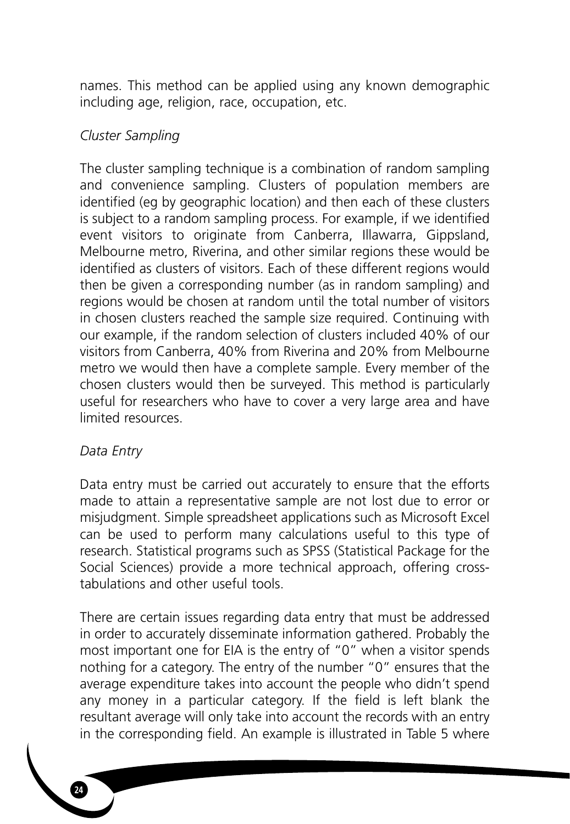names. This method can be applied using any known demographic including age, religion, race, occupation, etc.

# *Cluster Sampling*

The cluster sampling technique is a combination of random sampling and convenience sampling. Clusters of population members are identified (eg by geographic location) and then each of these clusters is subject to a random sampling process. For example, if we identified event visitors to originate from Canberra, Illawarra, Gippsland, Melbourne metro, Riverina, and other similar regions these would be identified as clusters of visitors. Each of these different regions would then be given a corresponding number (as in random sampling) and regions would be chosen at random until the total number of visitors in chosen clusters reached the sample size required. Continuing with our example, if the random selection of clusters included 40% of our visitors from Canberra, 40% from Riverina and 20% from Melbourne metro we would then have a complete sample. Every member of the chosen clusters would then be surveyed. This method is particularly useful for researchers who have to cover a very large area and have limited resources.

# *Data Entry*

**24**

Data entry must be carried out accurately to ensure that the efforts made to attain a representative sample are not lost due to error or misjudgment. Simple spreadsheet applications such as Microsoft Excel can be used to perform many calculations useful to this type of research. Statistical programs such as SPSS (Statistical Package for the Social Sciences) provide a more technical approach, offering crosstabulations and other useful tools.

There are certain issues regarding data entry that must be addressed in order to accurately disseminate information gathered. Probably the most important one for EIA is the entry of "0" when a visitor spends nothing for a category. The entry of the number "0" ensures that the average expenditure takes into account the people who didn't spend any money in a particular category. If the field is left blank the resultant average will only take into account the records with an entry in the corresponding field. An example is illustrated in Table 5 where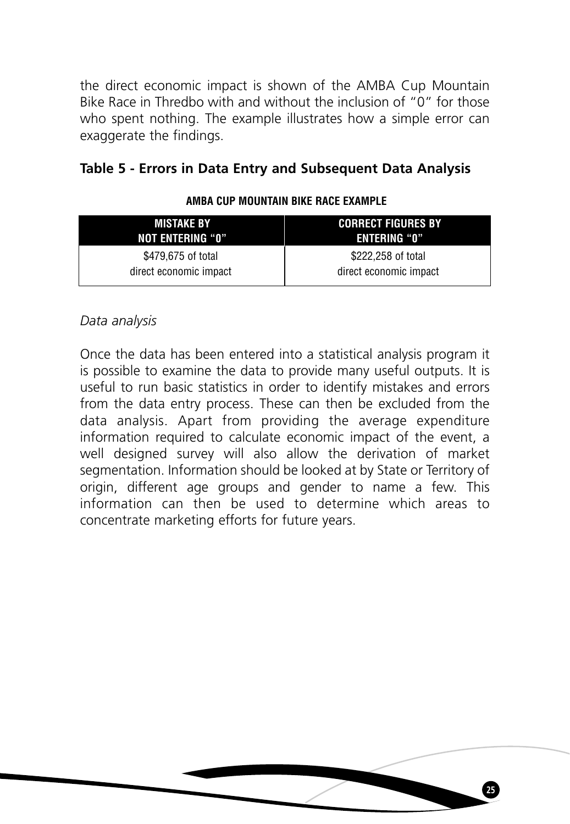the direct economic impact is shown of the AMBA Cup Mountain Bike Race in Thredbo with and without the inclusion of "0" for those who spent nothing. The example illustrates how a simple error can exaggerate the findings.

# **Table 5 - Errors in Data Entry and Subsequent Data Analysis**

| <b>MISTAKE BY</b>      | <b>CORRECT FIGURES BY</b> |
|------------------------|---------------------------|
| NOT ENTERING "0"       | <b>ENTERING "O"</b>       |
| \$479,675 of total     | \$222,258 of total        |
| direct economic impact | direct economic impact    |

## **AMBA CUP MOUNTAIN BIKE RACE EXAMPLE**

# *Data analysis*

Once the data has been entered into a statistical analysis program it is possible to examine the data to provide many useful outputs. It is useful to run basic statistics in order to identify mistakes and errors from the data entry process. These can then be excluded from the data analysis. Apart from providing the average expenditure information required to calculate economic impact of the event, a well designed survey will also allow the derivation of market segmentation. Information should be looked at by State or Territory of origin, different age groups and gender to name a few. This information can then be used to determine which areas to concentrate marketing efforts for future years.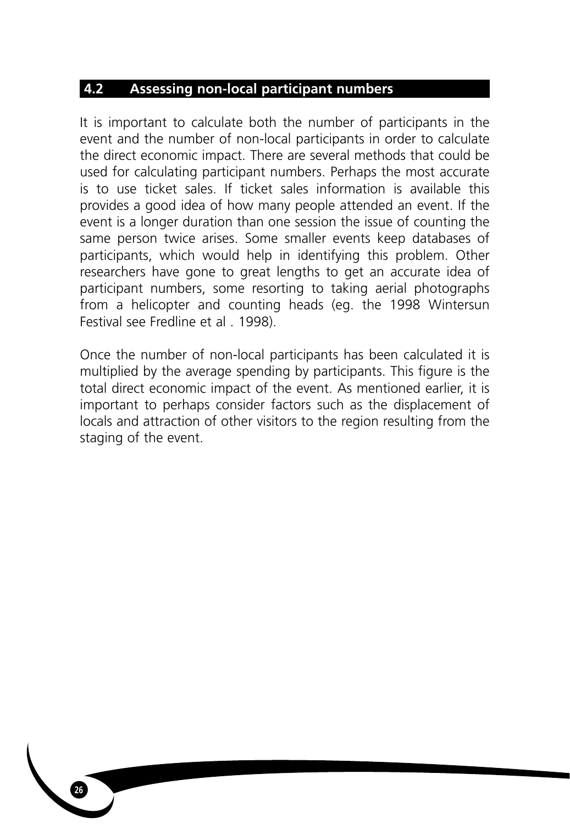# **4.2 Assessing non-local participant numbers**

It is important to calculate both the number of participants in the event and the number of non-local participants in order to calculate the direct economic impact. There are several methods that could be used for calculating participant numbers. Perhaps the most accurate is to use ticket sales. If ticket sales information is available this provides a good idea of how many people attended an event. If the event is a longer duration than one session the issue of counting the same person twice arises. Some smaller events keep databases of participants, which would help in identifying this problem. Other researchers have gone to great lengths to get an accurate idea of participant numbers, some resorting to taking aerial photographs from a helicopter and counting heads (eg. the 1998 Wintersun Festival see Fredline et al . 1998).

Once the number of non-local participants has been calculated it is multiplied by the average spending by participants. This figure is the total direct economic impact of the event. As mentioned earlier, it is important to perhaps consider factors such as the displacement of locals and attraction of other visitors to the region resulting from the staging of the event.

**26**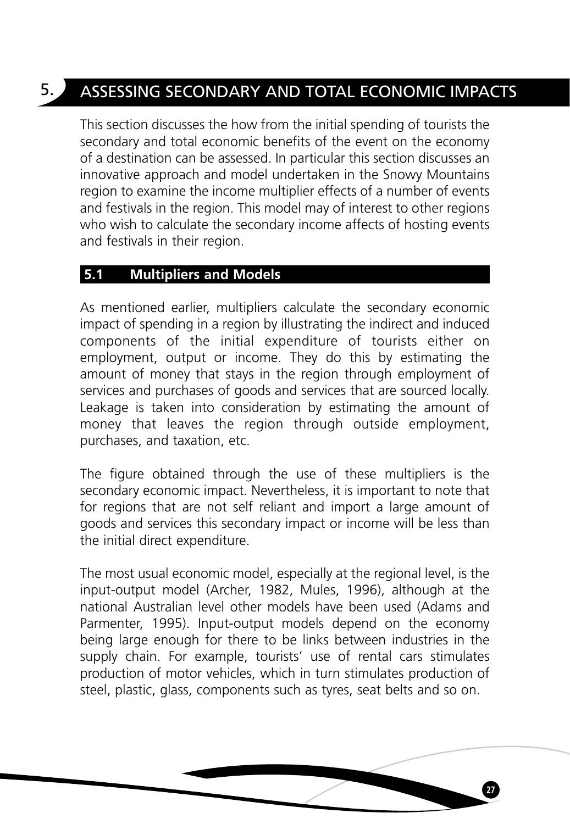# 5. ASSESSING SECONDARY AND TOTAL ECONOMIC IMPACTS

This section discusses the how from the initial spending of tourists the secondary and total economic benefits of the event on the economy of a destination can be assessed. In particular this section discusses an innovative approach and model undertaken in the Snowy Mountains region to examine the income multiplier effects of a number of events and festivals in the region. This model may of interest to other regions who wish to calculate the secondary income affects of hosting events and festivals in their region.

# **5.1 Multipliers and Models**

As mentioned earlier, multipliers calculate the secondary economic impact of spending in a region by illustrating the indirect and induced components of the initial expenditure of tourists either on employment, output or income. They do this by estimating the amount of money that stays in the region through employment of services and purchases of goods and services that are sourced locally. Leakage is taken into consideration by estimating the amount of money that leaves the region through outside employment, purchases, and taxation, etc.

The figure obtained through the use of these multipliers is the secondary economic impact. Nevertheless, it is important to note that for regions that are not self reliant and import a large amount of goods and services this secondary impact or income will be less than the initial direct expenditure.

The most usual economic model, especially at the regional level, is the input-output model (Archer, 1982, Mules, 1996), although at the national Australian level other models have been used (Adams and Parmenter, 1995). Input-output models depend on the economy being large enough for there to be links between industries in the supply chain. For example, tourists' use of rental cars stimulates production of motor vehicles, which in turn stimulates production of steel, plastic, glass, components such as tyres, seat belts and so on.

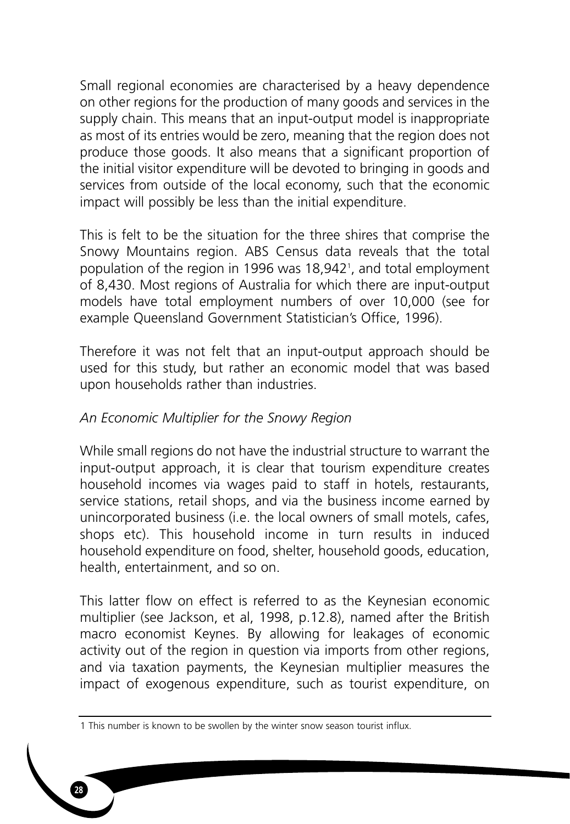Small regional economies are characterised by a heavy dependence on other regions for the production of many goods and services in the supply chain. This means that an input-output model is inappropriate as most of its entries would be zero, meaning that the region does not produce those goods. It also means that a significant proportion of the initial visitor expenditure will be devoted to bringing in goods and services from outside of the local economy, such that the economic impact will possibly be less than the initial expenditure.

This is felt to be the situation for the three shires that comprise the Snowy Mountains region. ABS Census data reveals that the total population of the region in 1996 was 18,942<sup>1</sup>, and total employment of 8,430. Most regions of Australia for which there are input-output models have total employment numbers of over 10,000 (see for example Queensland Government Statistician's Office, 1996).

Therefore it was not felt that an input-output approach should be used for this study, but rather an economic model that was based upon households rather than industries.

# *An Economic Multiplier for the Snowy Region*

While small regions do not have the industrial structure to warrant the input-output approach, it is clear that tourism expenditure creates household incomes via wages paid to staff in hotels, restaurants, service stations, retail shops, and via the business income earned by unincorporated business (i.e. the local owners of small motels, cafes, shops etc). This household income in turn results in induced household expenditure on food, shelter, household goods, education, health, entertainment, and so on.

This latter flow on effect is referred to as the Keynesian economic multiplier (see Jackson, et al, 1998, p.12.8), named after the British macro economist Keynes. By allowing for leakages of economic activity out of the region in question via imports from other regions, and via taxation payments, the Keynesian multiplier measures the impact of exogenous expenditure, such as tourist expenditure, on

<sup>1</sup> This number is known to be swollen by the winter snow season tourist influx.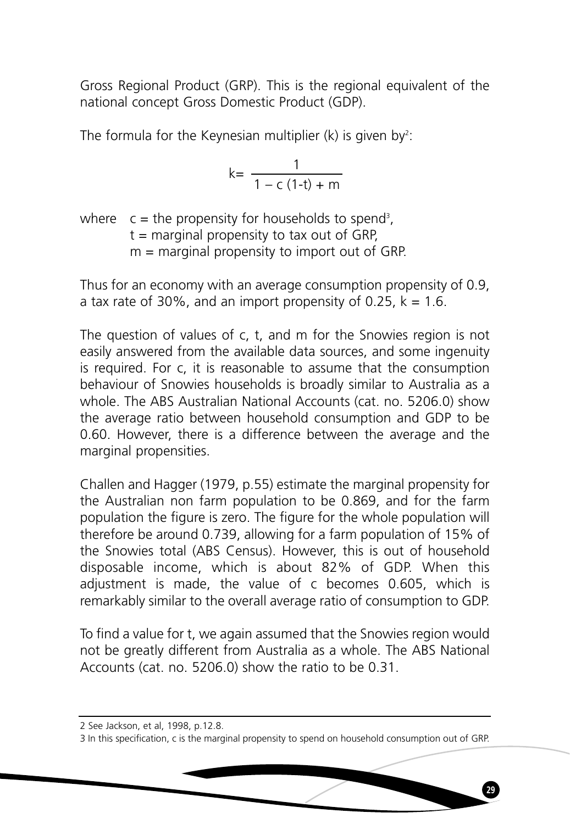Gross Regional Product (GRP). This is the regional equivalent of the national concept Gross Domestic Product (GDP).

The formula for the Keynesian multiplier (k) is given by<sup>2</sup>:

$$
k = \frac{1}{1 - c (1-t) + m}
$$

where  $c =$  the propensity for households to spend<sup>3</sup>,  $t =$  marginal propensity to tax out of GRP,  $m =$  marginal propensity to import out of GRP.

Thus for an economy with an average consumption propensity of 0.9, a tax rate of 30%, and an import propensity of 0.25,  $k = 1.6$ .

The question of values of c, t, and m for the Snowies region is not easily answered from the available data sources, and some ingenuity is required. For c, it is reasonable to assume that the consumption behaviour of Snowies households is broadly similar to Australia as a whole. The ABS Australian National Accounts (cat. no. 5206.0) show the average ratio between household consumption and GDP to be 0.60. However, there is a difference between the average and the marginal propensities.

Challen and Hagger (1979, p.55) estimate the marginal propensity for the Australian non farm population to be 0.869, and for the farm population the figure is zero. The figure for the whole population will therefore be around 0.739, allowing for a farm population of 15% of the Snowies total (ABS Census). However, this is out of household disposable income, which is about 82% of GDP. When this adjustment is made, the value of c becomes 0.605, which is remarkably similar to the overall average ratio of consumption to GDP.

To find a value for t, we again assumed that the Snowies region would not be greatly different from Australia as a whole. The ABS National Accounts (cat. no. 5206.0) show the ratio to be 0.31.

<sup>2</sup> See Jackson, et al, 1998, p.12.8.

<sup>3</sup> In this specification, c is the marginal propensity to spend on household consumption out of GRP.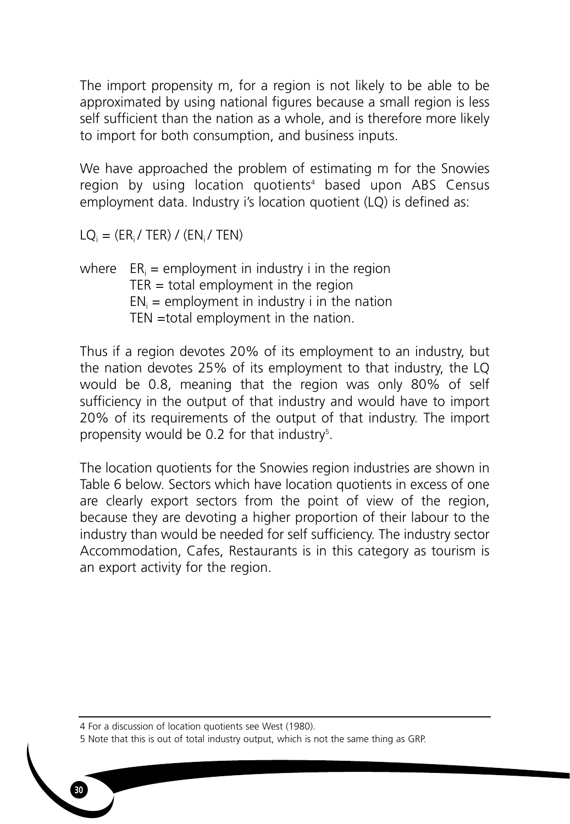The import propensity m, for a region is not likely to be able to be approximated by using national figures because a small region is less self sufficient than the nation as a whole, and is therefore more likely to import for both consumption, and business inputs.

We have approached the problem of estimating m for the Snowies region by using location quotients<sup>4</sup> based upon ABS Census employment data. Industry i's location quotient (LQ) is defined as:

 $LO_i = (ER_i / TER) / (EN_i / TEN)$ 

where  $ER_i = \text{emboyment}$  in industry i in the region  $TER = total$  employment in the region  $EN_i$  = employment in industry i in the nation TEN =total employment in the nation.

Thus if a region devotes 20% of its employment to an industry, but the nation devotes 25% of its employment to that industry, the LQ would be 0.8, meaning that the region was only 80% of self sufficiency in the output of that industry and would have to import 20% of its requirements of the output of that industry. The import propensity would be 0.2 for that industry<sup>5</sup>.

The location quotients for the Snowies region industries are shown in Table 6 below. Sectors which have location quotients in excess of one are clearly export sectors from the point of view of the region, because they are devoting a higher proportion of their labour to the industry than would be needed for self sufficiency. The industry sector Accommodation, Cafes, Restaurants is in this category as tourism is an export activity for the region.

4 For a discussion of location quotients see West (1980).

**30**

5 Note that this is out of total industry output, which is not the same thing as GRP.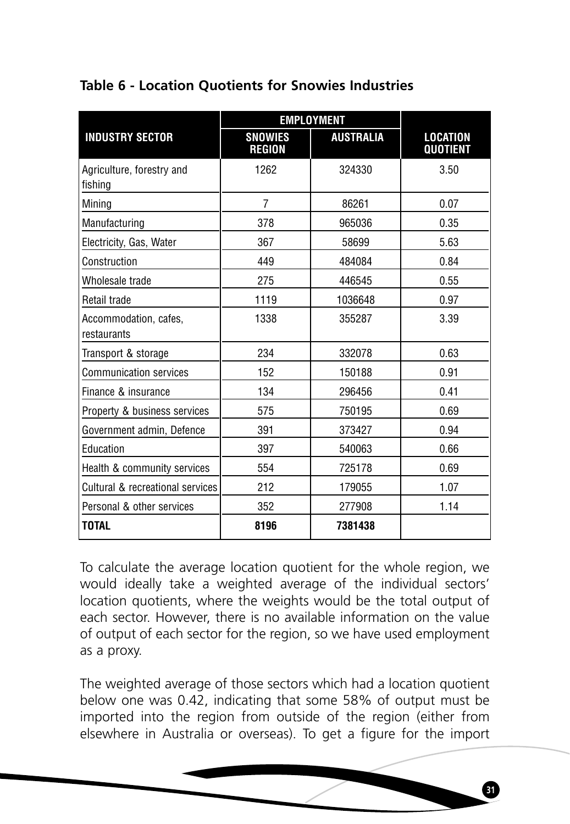# **Table 6 - Location Quotients for Snowies Industries**

|                                      | <b>EMPLOYMENT</b>               |                  |                                    |
|--------------------------------------|---------------------------------|------------------|------------------------------------|
| <b>INDUSTRY SECTOR</b>               | <b>SNOWIES</b><br><b>REGION</b> | <b>AUSTRALIA</b> | <b>LOCATION</b><br><b>QUOTIENT</b> |
| Agriculture, forestry and<br>fishing | 1262                            | 324330           | 3.50                               |
| Mining                               | $\overline{7}$                  | 86261            | 0.07                               |
| Manufacturing                        | 378                             | 965036           | 0.35                               |
| Electricity, Gas, Water              | 367                             | 58699            | 5.63                               |
| Construction                         | 449                             | 484084           | 0.84                               |
| Wholesale trade                      | 275                             | 446545           | 0.55                               |
| Retail trade                         | 1119                            | 1036648          | 0.97                               |
| Accommodation, cafes,<br>restaurants | 1338                            | 355287           | 3.39                               |
| Transport & storage                  | 234                             | 332078           | 0.63                               |
| <b>Communication services</b>        | 152                             | 150188           | 0.91                               |
| Finance & insurance                  | 134                             | 296456           | 0.41                               |
| Property & business services         | 575                             | 750195           | 0.69                               |
| Government admin, Defence            | 391                             | 373427           | 0.94                               |
| Education                            | 397                             | 540063           | 0.66                               |
| Health & community services          | 554                             | 725178           | 0.69                               |
| Cultural & recreational services     | 212                             | 179055           | 1.07                               |
| Personal & other services            | 352                             | 277908           | 1.14                               |
| <b>TOTAL</b>                         | 8196                            | 7381438          |                                    |

To calculate the average location quotient for the whole region, we would ideally take a weighted average of the individual sectors' location quotients, where the weights would be the total output of each sector. However, there is no available information on the value of output of each sector for the region, so we have used employment as a proxy.

The weighted average of those sectors which had a location quotient below one was 0.42, indicating that some 58% of output must be imported into the region from outside of the region (either from elsewhere in Australia or overseas). To get a figure for the import

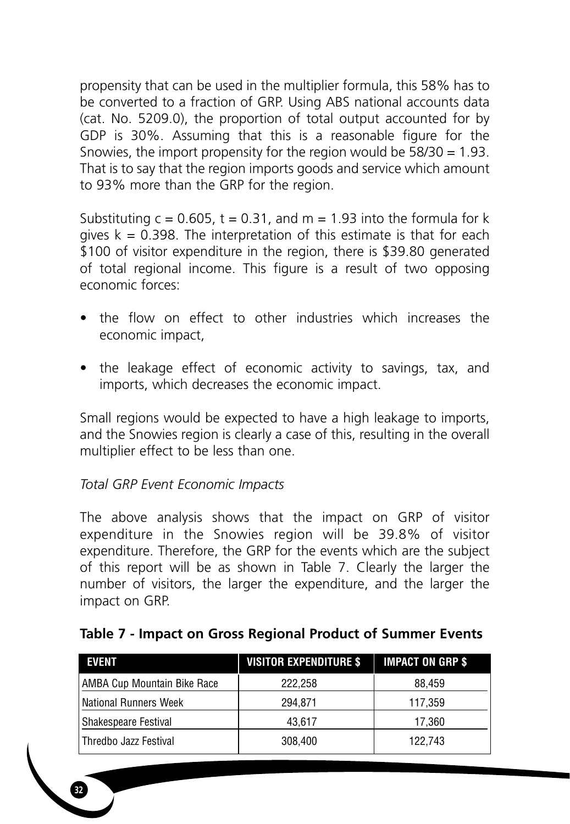propensity that can be used in the multiplier formula, this 58% has to be converted to a fraction of GRP. Using ABS national accounts data (cat. No. 5209.0), the proportion of total output accounted for by GDP is 30%. Assuming that this is a reasonable figure for the Snowies, the import propensity for the region would be 58/30 = 1.93. That is to say that the region imports goods and service which amount to 93% more than the GRP for the region.

Substituting  $c = 0.605$ ,  $t = 0.31$ , and  $m = 1.93$  into the formula for k gives  $k = 0.398$ . The interpretation of this estimate is that for each \$100 of visitor expenditure in the region, there is \$39.80 generated of total regional income. This figure is a result of two opposing economic forces:

- the flow on effect to other industries which increases the economic impact,
- the leakage effect of economic activity to savings, tax, and imports, which decreases the economic impact.

Small regions would be expected to have a high leakage to imports, and the Snowies region is clearly a case of this, resulting in the overall multiplier effect to be less than one.

# *Total GRP Event Economic Impacts*

**32**

The above analysis shows that the impact on GRP of visitor expenditure in the Snowies region will be 39.8% of visitor expenditure. Therefore, the GRP for the events which are the subject of this report will be as shown in Table 7. Clearly the larger the number of visitors, the larger the expenditure, and the larger the impact on GRP.

| <b>EVENT</b>                 | <b>VISITOR EXPENDITURE \$</b> | <b>IMPACT ON GRP \$</b> |
|------------------------------|-------------------------------|-------------------------|
| AMBA Cup Mountain Bike Race  | 222.258                       | 88.459                  |
| <b>National Runners Week</b> | 294.871                       | 117,359                 |
| Shakespeare Festival         | 43.617                        | 17.360                  |
| l Thredbo Jazz Festival      | 308.400                       | 122.743                 |

# **Table 7 - Impact on Gross Regional Product of Summer Events**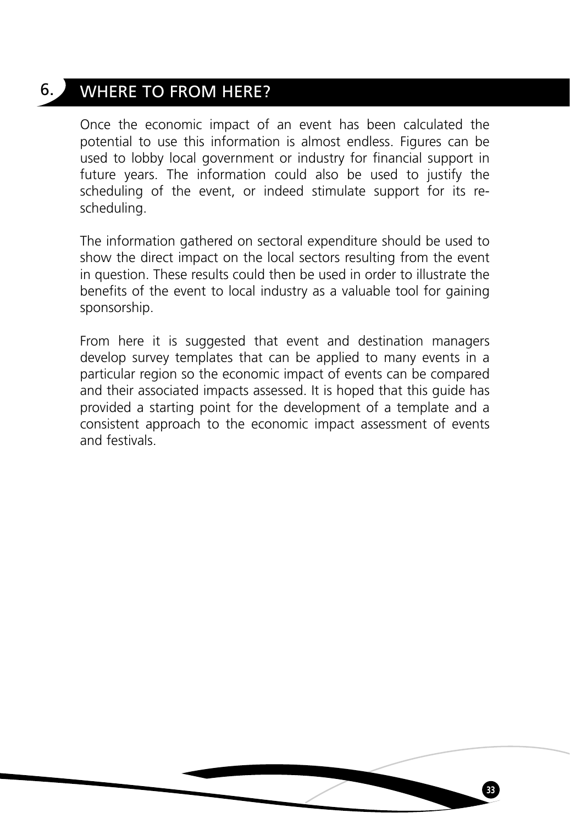# 6. WHERE TO FROM HERE?

Once the economic impact of an event has been calculated the potential to use this information is almost endless. Figures can be used to lobby local government or industry for financial support in future years. The information could also be used to justify the scheduling of the event, or indeed stimulate support for its rescheduling.

The information gathered on sectoral expenditure should be used to show the direct impact on the local sectors resulting from the event in question. These results could then be used in order to illustrate the benefits of the event to local industry as a valuable tool for gaining sponsorship.

From here it is suggested that event and destination managers develop survey templates that can be applied to many events in a particular region so the economic impact of events can be compared and their associated impacts assessed. It is hoped that this guide has provided a starting point for the development of a template and a consistent approach to the economic impact assessment of events and festivals.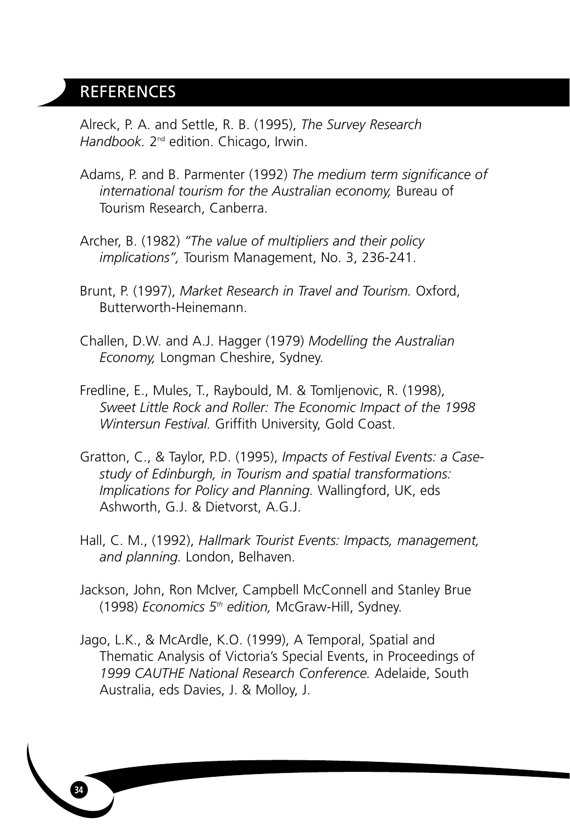# **REFERENCES**

**34**

Alreck, P. A. and Settle, R. B. (1995), *The Survey Research Handbook.* 2nd edition. Chicago, Irwin.

- Adams, P. and B. Parmenter (1992) *The medium term significance of international tourism for the Australian economy,* Bureau of Tourism Research, Canberra.
- Archer, B. (1982) *"The value of multipliers and their policy implications",* Tourism Management, No. 3, 236-241.
- Brunt, P. (1997), *Market Research in Travel and Tourism.* Oxford, Butterworth-Heinemann.
- Challen, D.W. and A.J. Hagger (1979) *Modelling the Australian Economy,* Longman Cheshire, Sydney.
- Fredline, E., Mules, T., Raybould, M. & Tomljenovic, R. (1998), *Sweet Little Rock and Roller: The Economic Impact of the 1998 Wintersun Festival.* Griffith University, Gold Coast.
- Gratton, C., & Taylor, P.D. (1995), *Impacts of Festival Events: a Casestudy of Edinburgh, in Tourism and spatial transformations: Implications for Policy and Planning.* Wallingford, UK, eds Ashworth, G.J. & Dietvorst, A.G.J.
- Hall, C. M., (1992), *Hallmark Tourist Events: Impacts, management, and planning.* London, Belhaven.
- Jackson, John, Ron McIver, Campbell McConnell and Stanley Brue (1998) *Economics 5th edition,* McGraw-Hill, Sydney.
- Jago, L.K., & McArdle, K.O. (1999), A Temporal, Spatial and Thematic Analysis of Victoria's Special Events, in Proceedings of *1999 CAUTHE National Research Conference.* Adelaide, South Australia, eds Davies, J. & Molloy, J.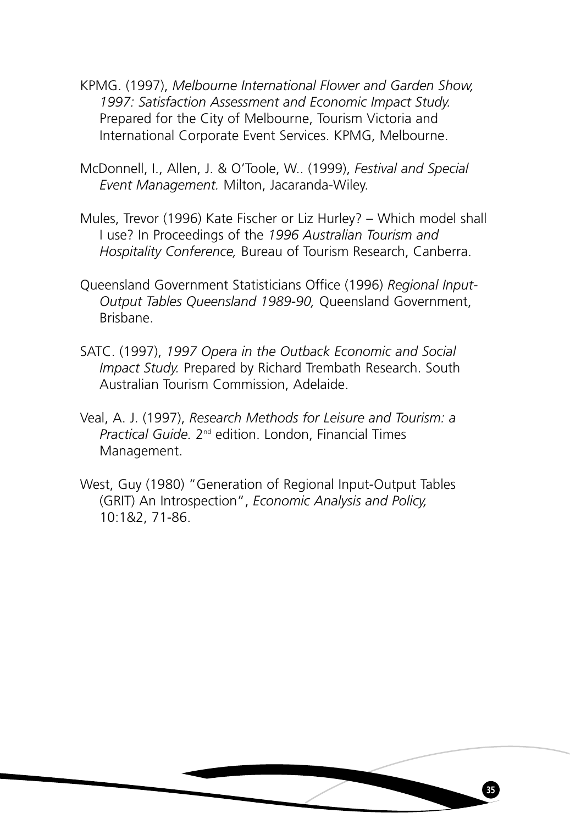- KPMG. (1997), *Melbourne International Flower and Garden Show, 1997: Satisfaction Assessment and Economic Impact Study.* Prepared for the City of Melbourne, Tourism Victoria and International Corporate Event Services. KPMG, Melbourne.
- McDonnell, I., Allen, J. & O'Toole, W.. (1999), *Festival and Special Event Management.* Milton, Jacaranda-Wiley.
- Mules, Trevor (1996) Kate Fischer or Liz Hurley? Which model shall I use? In Proceedings of the *1996 Australian Tourism and Hospitality Conference,* Bureau of Tourism Research, Canberra.
- Queensland Government Statisticians Office (1996) *Regional Input-Output Tables Queensland 1989-90,* Queensland Government, Brisbane.
- SATC. (1997), *1997 Opera in the Outback Economic and Social Impact Study.* Prepared by Richard Trembath Research. South Australian Tourism Commission, Adelaide.
- Veal, A. J. (1997), *Research Methods for Leisure and Tourism: a Practical Guide.* 2nd edition. London, Financial Times Management.
- West, Guy (1980) "Generation of Regional Input-Output Tables (GRIT) An Introspection", *Economic Analysis and Policy,* 10:1&2, 71-86.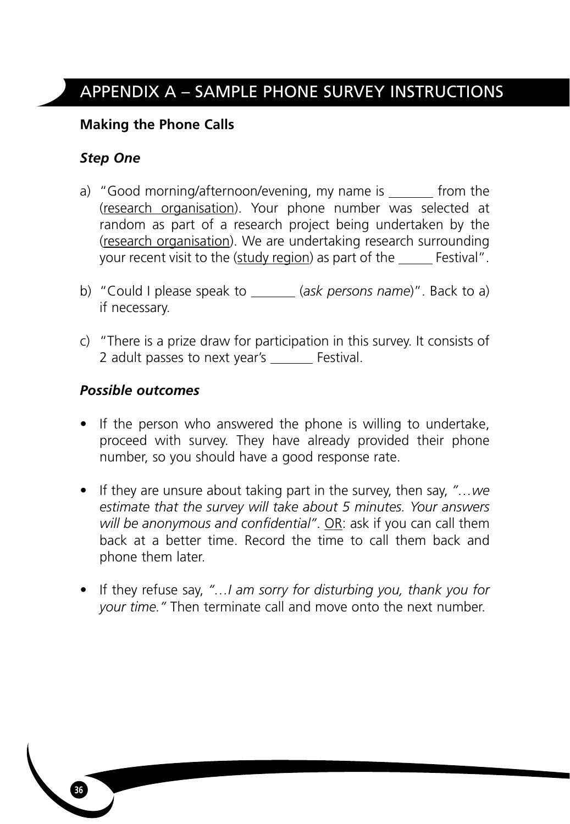# **Making the Phone Calls**

# *Step One*

- a) "Good morning/afternoon/evening, my name is  $f(x)$  from the (research organisation). Your phone number was selected at random as part of a research project being undertaken by the (research organisation). We are undertaking research surrounding your recent visit to the (study region) as part of the Festival".
- b) "Could I please speak to \_\_\_\_\_\_ (ask persons name)". Back to a) if necessary.
- c) "There is a prize draw for participation in this survey. It consists of 2 adult passes to next year's \_\_\_\_\_ Festival.

# *Possible outcomes*

- If the person who answered the phone is willing to undertake, proceed with survey. They have already provided their phone number, so you should have a good response rate.
- If they are unsure about taking part in the survey, then say, *"…we estimate that the survey will take about 5 minutes. Your answers will be anonymous and confidential"*. OR: ask if you can call them back at a better time. Record the time to call them back and phone them later.
- If they refuse say, *"…I am sorry for disturbing you, thank you for your time."* Then terminate call and move onto the next number.

**36**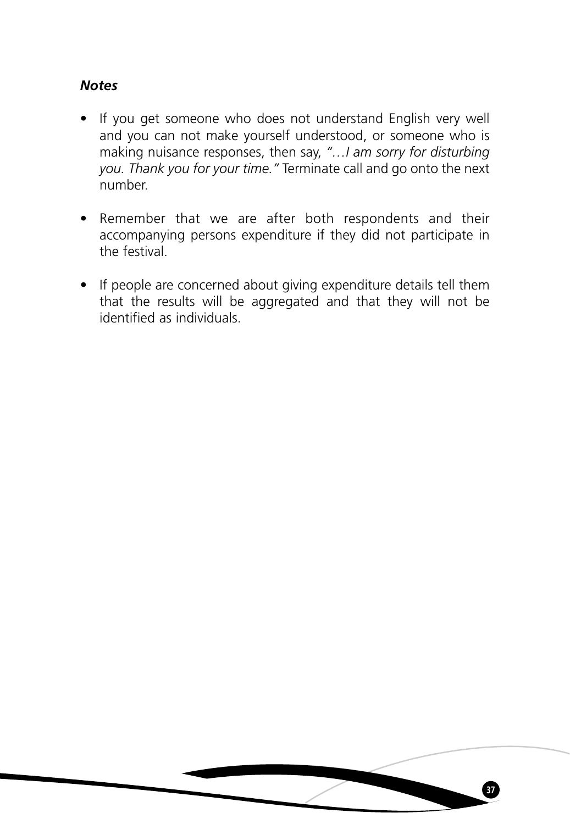# *Notes*

- If you get someone who does not understand English very well and you can not make yourself understood, or someone who is making nuisance responses, then say, *"…I am sorry for disturbing you. Thank you for your time."* Terminate call and go onto the next number.
- Remember that we are after both respondents and their accompanying persons expenditure if they did not participate in the festival.
- If people are concerned about giving expenditure details tell them that the results will be aggregated and that they will not be identified as individuals.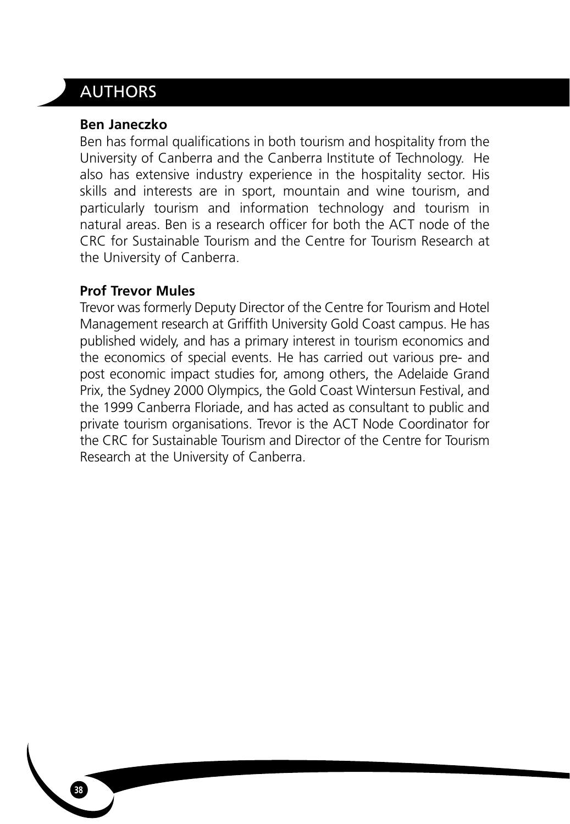# AUTHORS

## **Ben Janeczko**

Ben has formal qualifications in both tourism and hospitality from the University of Canberra and the Canberra Institute of Technology. He also has extensive industry experience in the hospitality sector. His skills and interests are in sport, mountain and wine tourism, and particularly tourism and information technology and tourism in natural areas. Ben is a research officer for both the ACT node of the CRC for Sustainable Tourism and the Centre for Tourism Research at the University of Canberra.

# **Prof Trevor Mules**

Trevor was formerly Deputy Director of the Centre for Tourism and Hotel Management research at Griffith University Gold Coast campus. He has published widely, and has a primary interest in tourism economics and the economics of special events. He has carried out various pre- and post economic impact studies for, among others, the Adelaide Grand Prix, the Sydney 2000 Olympics, the Gold Coast Wintersun Festival, and the 1999 Canberra Floriade, and has acted as consultant to public and private tourism organisations. Trevor is the ACT Node Coordinator for the CRC for Sustainable Tourism and Director of the Centre for Tourism Research at the University of Canberra.

**38**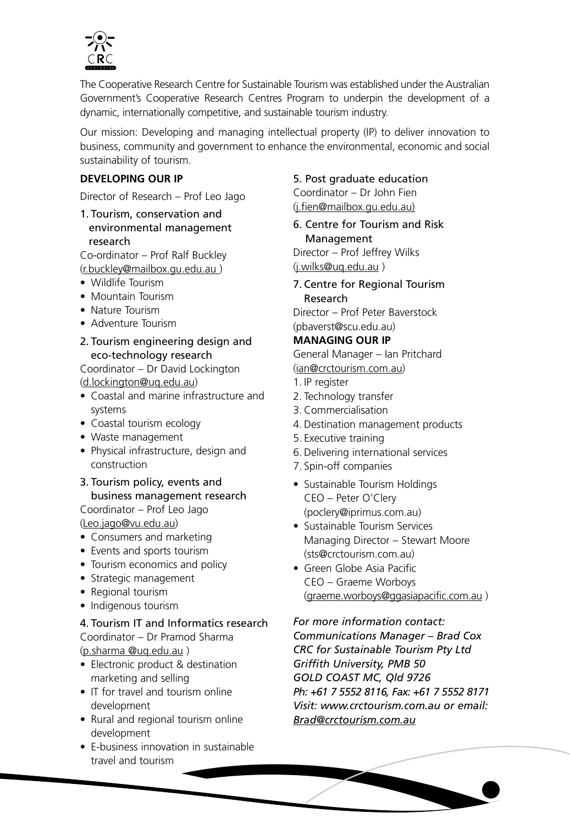

The Cooperative Research Centre for Sustainable Tourism was established under the Australian Government's Cooperative Research Centres Program to underpin the development of a dynamic, internationally competitive, and sustainable tourism industry.

Our mission: Developing and managing intellectual property (IP) to deliver innovation to business, community and government to enhance the environmental, economic and social sustainability of tourism.

## **DEVELOPING OUR IP**

Director of Research – Prof Leo Jago

1. Tourism, conservation and environmental management research

Co-ordinator – Prof Ralf Buckley

(r.buckley@mailbox.gu.edu.au )

- Wildlife Tourism
- Mountain Tourism
- Nature Tourism
- Adventure Tourism
- 2. Tourism engineering design and eco-technology research

Coordinator – Dr David Lockington (d.lockington@uq.edu.au)

- Coastal and marine infrastructure and systems
- Coastal tourism ecology
- Waste management
- Physical infrastructure, design and construction
- 3. Tourism policy, events and business management research Coordinator – Prof Leo Jago

(Leo.jago@vu.edu.au)

- Consumers and marketing
- Events and sports tourism
- Tourism economics and policy
- Strategic management
- Regional tourism
- Indigenous tourism

## 4. Tourism IT and Informatics research

Coordinator – Dr Pramod Sharma (p.sharma @uq.edu.au )

- Electronic product & destination marketing and selling
- IT for travel and tourism online development
- Rural and regional tourism online development
- E-business innovation in sustainable travel and tourism

#### 5. Post graduate education

Coordinator – Dr John Fien (j.fien@mailbox.gu.edu.au)

6. Centre for Tourism and Risk Management Director – Prof Jeffrey Wilks

(j.wilks@uq.edu.au )

## 7. Centre for Regional Tourism Research

Director – Prof Peter Baverstock (pbaverst@scu.edu.au)

## **MANAGING OUR IP**

General Manager – Ian Pritchard (ian@crctourism.com.au)

- 1. IP register
- 2. Technology transfer
- 3. Commercialisation
- 4. Destination management products
- 5. Executive training
- 6. Delivering international services
- 7. Spin-off companies
- Sustainable Tourism Holdings CEO – Peter O'Clery (poclery@iprimus.com.au)
- Sustainable Tourism Services Managing Director – Stewart Moore (sts@crctourism.com.au)
- Green Globe Asia Pacific CEO – Graeme Worboys (graeme.worboys@ggasiapacific.com.au )

*For more information contact: Communications Manager – Brad Cox CRC for Sustainable Tourism Pty Ltd Griffith University, PMB 50 GOLD COAST MC, Qld 9726 Ph: +61 7 5552 8116, Fax: +61 7 5552 8171 Visit: www.crctourism.com.au or email: Brad@crctourism.com.au*